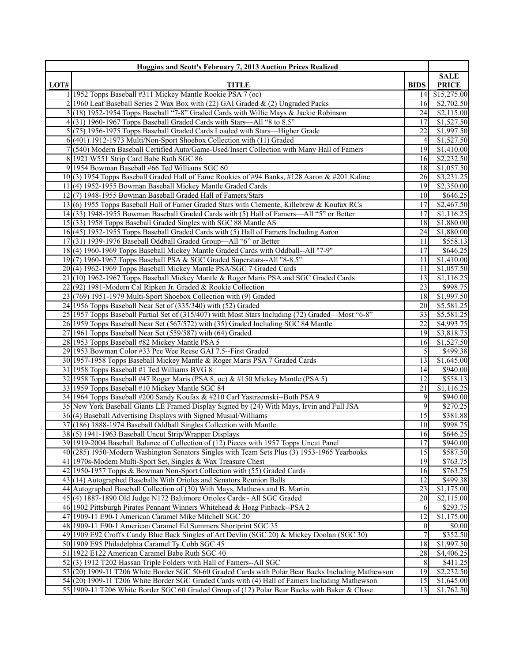| Huggins and Scott's February 7, 2013 Auction Prices Realized |                                                                                                                                                               |                 |                        |
|--------------------------------------------------------------|---------------------------------------------------------------------------------------------------------------------------------------------------------------|-----------------|------------------------|
|                                                              |                                                                                                                                                               |                 | <b>SALE</b>            |
| LOT#                                                         | <b>TITLE</b>                                                                                                                                                  | <b>BIDS</b>     | <b>PRICE</b>           |
|                                                              | 1 1952 Topps Baseball #311 Mickey Mantle Rookie PSA 7 (oc)                                                                                                    | 14              | \$15,275.00            |
|                                                              | 2 1960 Leaf Baseball Series 2 Wax Box with (22) GAI Graded $\&$ (2) Ungraded Packs                                                                            | 16              | \$2,702.50             |
|                                                              | 3(18) 1952-1954 Topps Baseball "7-8" Graded Cards with Willie Mays & Jackie Robinson                                                                          | 24              | \$2,115.00             |
|                                                              | $4(31)$ 1960-1967 Topps Baseball Graded Cards with Stars—All "8 to 8.5"                                                                                       | 17              | \$1,527.50             |
|                                                              | 5(75) 1956-1975 Topps Baseball Graded Cards Loaded with Stars—Higher Grade                                                                                    | 22              | \$1,997.50             |
|                                                              | 6(401) 1912-1973 Multi/Non-Sport Shoebox Collection with (11) Graded                                                                                          | $\overline{4}$  | \$1,527.50             |
|                                                              | 7 (540) Modern Baseball Certified Auto/Game-Used/Insert Collection with Many Hall of Famers                                                                   | 19              | \$1,410.00             |
|                                                              | 8 1921 W551 Strip Card Babe Ruth SGC 86                                                                                                                       | 16              | \$2,232.50             |
|                                                              | 9 1954 Bowman Baseball #66 Ted Williams SGC 60                                                                                                                | 18              | \$1,057.50             |
|                                                              | 10(3) 1954 Topps Baseball Graded Hall of Fame Rookies of #94 Banks, #128 Aaron & #201 Kaline                                                                  | 26              | \$3,231.25             |
|                                                              | 11(4) 1952-1955 Bowman Baseball Mickey Mantle Graded Cards<br>12(7) 1948-1955 Bowman Baseball Graded Hall of Famers/Stars                                     | 19<br>10        | \$2,350.00<br>\$646.25 |
|                                                              | 13(6) 1955 Topps Baseball Hall of Famer Graded Stars with Clemente, Killebrew & Koufax RCs                                                                    | 17              | \$2,467.50             |
|                                                              | 14(33) 1948-1955 Bowman Baseball Graded Cards with (5) Hall of Famers—All "5" or Better                                                                       | 17              | \$1,116.25             |
|                                                              | 15(33) 1958 Topps Baseball Graded Singles with SGC 88 Mantle AS                                                                                               | 18              | \$1,880.00             |
|                                                              | 16(45) 1952-1955 Topps Baseball Graded Cards with (5) Hall of Famers Including Aaron                                                                          | 24              | \$1,880.00             |
|                                                              | 17(31) 1939-1976 Baseball Oddball Graded Group—All "6" or Better                                                                                              | 11              | \$558.13               |
|                                                              | 18(4) 1960-1969 Topps Baseball Mickey Mantle Graded Cards with Oddball--All "7-9"                                                                             | 17              | \$646.25               |
|                                                              | 19(7) 1960-1967 Topps Baseball PSA & SGC Graded Superstars--All "8-8.5"                                                                                       | 11              | \$1,410.00             |
|                                                              | 20(4) 1962-1969 Topps Baseball Mickey Mantle PSA/SGC 7 Graded Cards                                                                                           | 11              | \$1,057.50             |
|                                                              | 21(10) 1962-1967 Topps Baseball Mickey Mantle & Roger Maris PSA and SGC Graded Cards                                                                          | 13              | \$1,116.25             |
|                                                              | 22(92) 1981-Modern Cal Ripken Jr. Graded & Rookie Collection                                                                                                  | 23              | \$998.75               |
|                                                              | $23(769)$ 1951-1979 Multi-Sport Shoebox Collection with (9) Graded                                                                                            | 18              | \$1,997.50             |
|                                                              | 24 1956 Topps Baseball Near Set of (335/340) with (52) Graded                                                                                                 | 20              | \$5,581.25             |
|                                                              | 25 1957 Topps Baseball Partial Set of (315/407) with Most Stars Including (72) Graded—Most "6-8"                                                              | 33              | \$5,581.25             |
|                                                              | 26 1959 Topps Baseball Near Set (567/572) with (35) Graded Including SGC 84 Mantle                                                                            | 22              | \$4,993.75             |
|                                                              | 27 1961 Topps Baseball Near Set (559/587) with (64) Graded                                                                                                    | 19              | \$3,818.75             |
|                                                              | 28 1953 Topps Baseball #82 Mickey Mantle PSA 5                                                                                                                | 16              | \$1,527.50             |
|                                                              | 29 1953 Bowman Color #33 Pee Wee Reese GAI 7.5--First Graded                                                                                                  | 5               | \$499.38               |
|                                                              | 30 1957-1958 Topps Baseball Mickey Mantle & Roger Maris PSA 7 Graded Cards                                                                                    | 13              | \$1,645.00             |
|                                                              | 31 1958 Topps Baseball #1 Ted Williams BVG 8                                                                                                                  | 14              | \$940.00               |
|                                                              | 32 1958 Topps Baseball #47 Roger Maris (PSA 8, oc) & #150 Mickey Mantle (PSA 5)                                                                               | 12              | \$558.13               |
|                                                              | 33 1959 Topps Baseball #10 Mickey Mantle SGC 84                                                                                                               | 21              | \$1,116.25             |
|                                                              | 34 1964 Topps Baseball #200 Sandy Koufax & #210 Carl Yastrzemski--Both PSA 9                                                                                  | 9               | \$940.00               |
|                                                              | 35 New York Baseball Giants LE Framed Display Signed by (24) With Mays, Irvin and Full JSA                                                                    | 9               | $\overline{$270.25}$   |
|                                                              | 36(4) Baseball Advertising Displays with Signed Musial/Williams                                                                                               | 15              | \$381.88               |
|                                                              | 37 (186) 1888-1974 Baseball Oddball Singles Collection with Mantle                                                                                            | 10              | \$998.75               |
|                                                              | 38(5) 1941-1963 Baseball Uncut Strip/Wrapper Displays                                                                                                         | 16              | \$646.25               |
|                                                              | 39 1919-2004 Baseball Balance of Collection of (12) Pieces with 1957 Topps Uncut Panel                                                                        | 17              | \$940.00               |
|                                                              | 40(285) 1950-Modern Washington Senators Singles with Team Sets Plus (3) 1953-1965 Yearbooks                                                                   | 15              | \$587.50               |
|                                                              | 41 1970s-Modern Multi-Sport Set, Singles & Wax Treasure Chest                                                                                                 | 19              | \$763.75               |
|                                                              | 42 1950-1957 Topps & Bowman Non-Sport Collection with (55) Graded Cards                                                                                       | 16              | \$763.75               |
|                                                              | 43(14) Autographed Baseballs With Orioles and Senators Reunion Balls                                                                                          | 12              | \$499.38               |
|                                                              | 44 Autographed Baseball Collection of (30) With Mays, Mathews and B. Martin                                                                                   | 23              | \$1,175.00             |
|                                                              | 45(4) 1887-1890 Old Judge N172 Baltimore Orioles Cards - All SGC Graded<br>46 1902 Pittsburgh Pirates Pennant Winners Whitehead & Hoag Pinback--PSA 2         | 20              | \$2,115.00<br>\$293.75 |
|                                                              | 47 1909-11 E90-1 American Caramel Mike Mitchell SGC 20                                                                                                        | 6<br>12         | \$1,175.00             |
|                                                              |                                                                                                                                                               | $\vert 0 \vert$ | \$0.00                 |
|                                                              | 48 1909-11 E90-1 American Caramel Ed Summers Shortprint SGC 35<br>49 1909 E92 Croft's Candy Blue Back Singles of Art Devlin (SGC 20) & Mickey Doolan (SGC 30) | $\overline{7}$  | \$352.50               |
|                                                              | 50 1909 E95 Philadelphia Caramel Ty Cobb SGC 45                                                                                                               | 18              | \$1,997.50             |
|                                                              | 51 1922 E122 American Caramel Babe Ruth SGC 40                                                                                                                | 28              | \$4,406.25             |
|                                                              | 52(3) 1912 T202 Hassan Triple Folders with Hall of Famers--All SGC                                                                                            | 8               | \$411.25               |
|                                                              | 53(20) 1909-11 T206 White Border SGC 50-60 Graded Cards with Polar Bear Backs Including Mathewson                                                             | 19              | \$2,232.50             |
|                                                              | 54(20) 1909-11 T206 White Border SGC Graded Cards with (4) Hall of Famers Including Mathewson                                                                 | 15              | \$1,645.00             |
|                                                              | 55 1909-11 T206 White Border SGC 60 Graded Group of (12) Polar Bear Backs with Baker & Chase                                                                  | 13              | \$1,762.50             |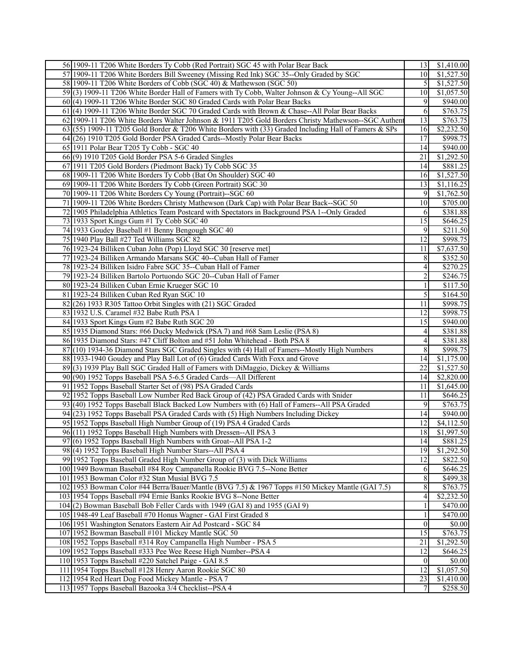| 56 1909-11 T206 White Borders Ty Cobb (Red Portrait) SGC 45 with Polar Bear Back                      | 13              | \$1,410.00           |
|-------------------------------------------------------------------------------------------------------|-----------------|----------------------|
| 57 1909-11 T206 White Borders Bill Sweeney (Missing Red Ink) SGC 35--Only Graded by SGC               | 10              | \$1,527.50           |
| 58 1909-11 T206 White Borders of Cobb (SGC 40) & Mathewson (SGC 50)                                   | $\mathcal{F}$   | \$1,527.50           |
| 59(3) 1909-11 T206 White Border Hall of Famers with Ty Cobb, Walter Johnson & Cy Young--All SGC       | 10              | \$1,057.50           |
| $60(4)$ 1909-11 T206 White Border SGC 80 Graded Cards with Polar Bear Backs                           | 9               | \$940.00             |
| 61(4) 1909-11 T206 White Border SGC 70 Graded Cards with Brown & Chase--All Polar Bear Backs          | 6               | \$763.75             |
| 62 1909-11 T206 White Borders Walter Johnson & 1911 T205 Gold Borders Christy Mathewson--SGC Authen   | 13              | \$763.75             |
| 63 (55) 1909-11 T205 Gold Border & T206 White Borders with (33) Graded Including Hall of Famers & SPs | 16              | \$2,232.50           |
| 64(26) 1910 T205 Gold Border PSA Graded Cards--Mostly Polar Bear Backs                                | 17              | \$998.75             |
| 65 1911 Polar Bear T205 Ty Cobb - SGC 40                                                              | 14              | \$940.00             |
| 66(9) 1910 T205 Gold Border PSA 5-6 Graded Singles                                                    | 21              | \$1,292.50           |
| 67 1911 T205 Gold Borders (Piedmont Back) Ty Cobb SGC 35                                              | 14              | \$881.25             |
| 68 1909-11 T206 White Borders Ty Cobb (Bat On Shoulder) SGC 40                                        | 16              | \$1,527.50           |
|                                                                                                       |                 |                      |
| 69 1909-11 T206 White Borders Ty Cobb (Green Portrait) SGC 30                                         | 13              | \$1,116.25           |
| 70 1909-11 T206 White Borders Cy Young (Portrait)--SGC 60                                             | 9               | \$1,762.50           |
| 71 1909-11 T206 White Borders Christy Mathewson (Dark Cap) with Polar Bear Back--SGC 50               | 10 <sup>1</sup> | \$705.00             |
| 72 1905 Philadelphia Athletics Team Postcard with Spectators in Background PSA 1--Only Graded         | 6               | \$381.88             |
| 73 1933 Sport Kings Gum #1 Ty Cobb SGC 40                                                             | 15              | \$646.25             |
| 74 1933 Goudey Baseball #1 Benny Bengough SGC 40                                                      | 9               | \$211.50             |
| 75 1940 Play Ball #27 Ted Williams SGC 82                                                             | 12              | \$998.75             |
| 76 1923-24 Billiken Cuban John (Pop) Lloyd SGC 30 [reserve met]                                       | 11              | \$7,637.50           |
| 77 1923-24 Billiken Armando Marsans SGC 40--Cuban Hall of Famer                                       | 8 <sup>l</sup>  | \$352.50             |
| 78 1923-24 Billiken Isidro Fabre SGC 35--Cuban Hall of Famer                                          | 4               | $\overline{$270.25}$ |
| 79 1923-24 Billiken Bartolo Portuondo SGC 20--Cuban Hall of Famer                                     | $\sqrt{2}$      | \$246.75             |
| 80 1923-24 Billiken Cuban Ernie Krueger SGC 10                                                        | 1               | \$117.50             |
| 81 1923-24 Billiken Cuban Red Ryan SGC 10                                                             | 5 <sub>l</sub>  | \$164.50             |
| $82(26)$ 1933 R305 Tattoo Orbit Singles with $(21)$ SGC Graded                                        | 11              | \$998.75             |
| 83 1932 U.S. Caramel #32 Babe Ruth PSA 1                                                              | 12              | \$998.75             |
| 84 1933 Sport Kings Gum #2 Babe Ruth SGC 20                                                           | 15              | \$940.00             |
| 85 1935 Diamond Stars: #66 Ducky Medwick (PSA 7) and #68 Sam Leslie (PSA 8)                           | $\vert 4 \vert$ | \$381.88             |
| 86 1935 Diamond Stars: #47 Cliff Bolton and #51 John Whitehead - Both PSA 8                           | $\vert 4 \vert$ | \$381.88             |
| 87(10) 1934-36 Diamond Stars SGC Graded Singles with (4) Hall of Famers--Mostly High Numbers          | 8               | \$998.75             |
| 88 1933-1940 Goudey and Play Ball Lot of (6) Graded Cards With Foxx and Grove                         | 14              | \$1,175.00           |
| 89(3) 1939 Play Ball SGC Graded Hall of Famers with DiMaggio, Dickey & Williams                       | 22              | \$1,527.50           |
| 90(90) 1952 Topps Baseball PSA 5-6.5 Graded Cards—All Different                                       | 14              | \$2,820.00           |
| 91 1952 Topps Baseball Starter Set of (98) PSA Graded Cards                                           | 11              | \$1,645.00           |
| 92 1952 Topps Baseball Low Number Red Back Group of (42) PSA Graded Cards with Snider                 | 11              | \$646.25             |
| 93(40) 1952 Topps Baseball Black Backed Low Numbers with (6) Hall of Famers--All PSA Graded           | 9               | \$763.75             |
| 94(23) 1952 Topps Baseball PSA Graded Cards with (5) High Numbers Including Dickey                    | 14              | \$940.00             |
| 95 1952 Topps Baseball High Number Group of (19) PSA 4 Graded Cards                                   | 12              | \$4,112.50           |
| 96(11) 1952 Topps Baseball High Numbers with Dressen--All PSA 3                                       | 18              | \$1,997.50           |
| 97(6) 1952 Topps Baseball High Numbers with Groat--All PSA 1-2                                        | 14              | \$881.25             |
| 98(4) 1952 Topps Baseball High Number Stars--All PSA 4                                                | 19              | \$1,292.50           |
| 99 1952 Topps Baseball Graded High Number Group of (3) with Dick Williams                             | 12              | \$822.50             |
| 100 1949 Bowman Baseball #84 Roy Campanella Rookie BVG 7.5--None Better                               | 6               | \$646.25             |
| 101 1953 Bowman Color #32 Stan Musial BVG 7.5                                                         | 8 <sup>l</sup>  | \$499.38             |
| 102 1953 Bowman Color #44 Berra/Bauer/Mantle (BVG 7.5) & 1967 Topps #150 Mickey Mantle (GAI 7.5)      | 8               | \$763.75             |
| 103 1954 Topps Baseball #94 Ernie Banks Rookie BVG 8--None Better                                     | 4               | \$2,232.50           |
| 104(2) Bowman Baseball Bob Feller Cards with 1949 (GAI 8) and 1955 (GAI 9)                            | $\overline{1}$  | \$470.00             |
| 105 1948-49 Leaf Baseball #70 Honus Wagner - GAI First Graded 8                                       | 1               | \$470.00             |
| 106 1951 Washington Senators Eastern Air Ad Postcard - SGC 84                                         | $\vert 0 \vert$ | \$0.00               |
| 107 1952 Bowman Baseball #101 Mickey Mantle SGC 50                                                    | $\overline{15}$ | \$763.75             |
| 108 1952 Topps Baseball #314 Roy Campanella High Number - PSA 5                                       | 21              | \$1,292.50           |
| 109 1952 Topps Baseball #333 Pee Wee Reese High Number--PSA 4                                         | 12              | \$646.25             |
| 110 1953 Topps Baseball #220 Satchel Paige - GAI 8.5                                                  | $\overline{0}$  | \$0.00               |
| 111 1954 Topps Baseball #128 Henry Aaron Rookie SGC 80                                                | 12              | \$1,057.50           |
| 112 1954 Red Heart Dog Food Mickey Mantle - PSA 7                                                     | 23              | \$1,410.00           |
| 113 1957 Topps Baseball Bazooka 3/4 Checklist--PSA 4                                                  | 7 <sup>1</sup>  | \$258.50             |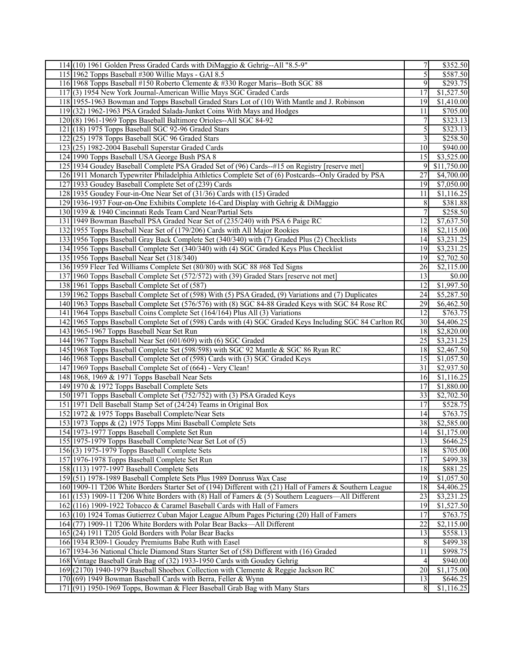|                                                     | 114(10) 1961 Golden Press Graded Cards with DiMaggio & Gehrig--All "8.5-9"                               | 7               | \$352.50               |
|-----------------------------------------------------|----------------------------------------------------------------------------------------------------------|-----------------|------------------------|
| 115 1962 Topps Baseball #300 Willie Mays - GAI 8.5  |                                                                                                          | 5               | \$587.50               |
|                                                     | 116 1968 Topps Baseball #150 Roberto Clemente & #330 Roger Maris--Both SGC 88                            | 9               | \$293.75               |
|                                                     | 117(3) 1954 New York Journal-American Willie Mays SGC Graded Cards                                       | 17              | \$1,527.50             |
|                                                     | 118 1955-1963 Bowman and Topps Baseball Graded Stars Lot of (10) With Mantle and J. Robinson             | 19              | \$1,410.00             |
|                                                     | 119 (32) 1962-1963 PSA Graded Salada-Junket Coins With Mays and Hodges                                   | 11              | \$705.00               |
|                                                     | 120(8) 1961-1969 Topps Baseball Baltimore Orioles--All SGC 84-92                                         | $\overline{7}$  | \$323.13               |
|                                                     | $121(18)$ 1975 Topps Baseball SGC 92-96 Graded Stars                                                     | $\overline{5}$  | \$323.13               |
| 122(25) 1978 Topps Baseball SGC 96 Graded Stars     |                                                                                                          | $\overline{3}$  | \$258.50               |
| $123(25)$ 1982-2004 Baseball Superstar Graded Cards |                                                                                                          | 10              | \$940.00               |
| 124 1990 Topps Baseball USA George Bush PSA 8       |                                                                                                          | 15              | \$3,525.00             |
|                                                     | 125 1934 Goudey Baseball Complete PSA Graded Set of (96) Cards--#15 on Registry [reserve met]            | 9               |                        |
|                                                     |                                                                                                          | 27              | \$11,750.00            |
|                                                     | 126 1911 Monarch Typewriter Philadelphia Athletics Complete Set of (6) Postcards--Only Graded by PSA     |                 | \$4,700.00             |
|                                                     | 127 1933 Goudey Baseball Complete Set of (239) Cards                                                     | 19              | \$7,050.00             |
|                                                     | 128 1935 Goudey Four-in-One Near Set of (31/36) Cards with (15) Graded                                   | 11              | \$1,116.25             |
|                                                     | 129 1936-1937 Four-on-One Exhibits Complete 16-Card Display with Gehrig & DiMaggio                       | $\,8$           | \$381.88               |
|                                                     | 130 1939 & 1940 Cincinnati Reds Team Card Near/Partial Sets                                              | $\overline{7}$  | \$258.50               |
|                                                     | 131 1949 Bowman Baseball PSA Graded Near Set of (235/240) with PSA 6 Paige RC                            | 12              | \$7,637.50             |
|                                                     | 132 1955 Topps Baseball Near Set of (179/206) Cards with All Major Rookies                               | 18              | \$2,115.00             |
|                                                     | 133 1956 Topps Baseball Gray Back Complete Set (340/340) with (7) Graded Plus (2) Checklists             | 14              | \$3,231.25             |
|                                                     | 134 1956 Topps Baseball Complete Set (340/340) with (4) SGC Graded Keys Plus Checklist                   | 19              | \$3,231.25             |
| 135 1956 Topps Baseball Near Set (318/340)          |                                                                                                          | 19              | \$2,702.50             |
|                                                     | 136 1959 Fleer Ted Williams Complete Set (80/80) with SGC 88 #68 Ted Signs                               | 26              | \$2,115.00             |
|                                                     | 137 1960 Topps Baseball Complete Set (572/572) with (39) Graded Stars [reserve not met]                  | 13              | \$0.00                 |
| 138 1961 Topps Baseball Complete Set of (587)       |                                                                                                          | 12              | \$1,997.50             |
|                                                     | 139 1962 Topps Baseball Complete Set of (598) With (5) PSA Graded, (9) Variations and (7) Duplicates     | $\overline{24}$ | \$5,287.50             |
|                                                     | 140 1963 Topps Baseball Complete Set (576/576) with (8) SGC 84-88 Graded Keys with SGC 84 Rose RC        | 29              | $\overline{$6,462.50}$ |
|                                                     | 141 1964 Topps Baseball Coins Complete Set (164/164) Plus All (3) Variations                             | 12              | \$763.75               |
|                                                     | 142 1965 Topps Baseball Complete Set of (598) Cards with (4) SGC Graded Keys Including SGC 84 Carlton RC | 30 <sup>1</sup> | \$4,406.25             |
| 143 1965-1967 Topps Baseball Near Set Run           |                                                                                                          | 18              | \$2,820.00             |
|                                                     | 144 1967 Topps Baseball Near Set (601/609) with (6) SGC Graded                                           | 25              | \$3,231.25             |
|                                                     | 145 1968 Topps Baseball Complete Set (598/598) with SGC 92 Mantle & SGC 86 Ryan RC                       | 18              | \$2,467.50             |
|                                                     | 146 1968 Topps Baseball Complete Set of (598) Cards with (3) SGC Graded Keys                             | 15              | \$1,057.50             |
|                                                     | 147 1969 Topps Baseball Complete Set of (664) - Very Clean!                                              | 31              | \$2,937.50             |
| 148 1968, 1969 & 1971 Topps Baseball Near Sets      |                                                                                                          | 16              | \$1,116.25             |
| 149 1970 & 1972 Topps Baseball Complete Sets        |                                                                                                          | 17              | \$1,880.00             |
|                                                     | 150 1971 Topps Baseball Complete Set (752/752) with (3) PSA Graded Keys                                  | 33              | \$2,702.50             |
|                                                     | 151 1971 Dell Baseball Stamp Set of (24/24) Teams in Original Box                                        | 17              | \$528.75               |
| 152 1972 & 1975 Topps Baseball Complete/Near Sets   |                                                                                                          | 14              | \$763.75               |
|                                                     | 153 1973 Topps & (2) 1975 Topps Mini Baseball Complete Sets                                              | 38              | \$2,585.00             |
| 154 1973-1977 Topps Baseball Complete Set Run       |                                                                                                          | 14              | \$1,175.00             |
|                                                     | 155 1975-1979 Topps Baseball Complete/Near Set Lot of (5)                                                | 13              | \$646.25               |
| 156(3) 1975-1979 Topps Baseball Complete Sets       |                                                                                                          | 18              | \$705.00               |
| 157 1976-1978 Topps Baseball Complete Set Run       |                                                                                                          | 17              | \$499.38               |
| 158 (113) 1977-1997 Baseball Complete Sets          |                                                                                                          | 18              | \$881.25               |
|                                                     | 159 (51) 1978-1989 Baseball Complete Sets Plus 1989 Donruss Wax Case                                     | 19              | \$1,057.50             |
|                                                     | 160 1909-11 T206 White Borders Starter Set of (194) Different with (21) Hall of Famers & Southern League | 18              | \$4,406.25             |
|                                                     | 161(153) 1909-11 T206 White Borders with (8) Hall of Famers & (5) Southern Leaguers—All Different        | 23              | \$3,231.25             |
|                                                     | 162(116) 1909-1922 Tobacco & Caramel Baseball Cards with Hall of Famers                                  | 19              | \$1,527.50             |
|                                                     | 163(10) 1924 Tomas Gutierrez Cuban Major League Album Pages Picturing (20) Hall of Famers                | 17              | \$763.75               |
|                                                     | 164(77) 1909-11 T206 White Borders with Polar Bear Backs—All Different                                   | 22              | \$2,115.00             |
|                                                     | 165 (24) 1911 T205 Gold Borders with Polar Bear Backs                                                    | 13              | \$558.13               |
|                                                     | 166 1934 R309-1 Goudey Premiums Babe Ruth with Easel                                                     | 8               | \$499.38               |
|                                                     | 167 1934-36 National Chicle Diamond Stars Starter Set of (58) Different with (16) Graded                 | 11              | \$998.75               |
|                                                     | 168 Vintage Baseball Grab Bag of (32) 1933-1950 Cards with Goudey Gehrig                                 | $\overline{4}$  | \$940.00               |
|                                                     | 169 (2170) 1940-1979 Baseball Shoebox Collection with Clemente & Reggie Jackson RC                       | 20              | \$1,175.00             |
|                                                     | 170(69) 1949 Bowman Baseball Cards with Berra, Feller & Wynn                                             | 13              | \$646.25               |
|                                                     | 171 (91) 1950-1969 Topps, Bowman & Fleer Baseball Grab Bag with Many Stars                               | 8 <sup>l</sup>  | $\overline{1,}116.25$  |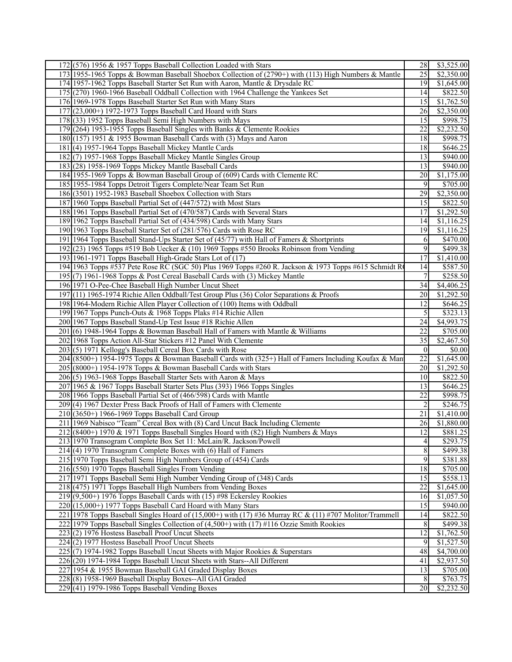| 172(576) 1956 & 1957 Topps Baseball Collection Loaded with Stars                                        | 28             | \$3,525.00             |
|---------------------------------------------------------------------------------------------------------|----------------|------------------------|
| 173 1955-1965 Topps & Bowman Baseball Shoebox Collection of (2790+) with (113) High Numbers & Mantle    | 25             | \$2,350.00             |
| 174 1957-1962 Topps Baseball Starter Set Run with Aaron, Mantle & Drysdale RC                           | 19             | \$1,645.00             |
| 175 (270) 1960-1966 Baseball Oddball Collection with 1964 Challenge the Yankees Set                     | 14             | \$822.50               |
| 176 1969-1978 Topps Baseball Starter Set Run with Many Stars                                            | 15             | \$1,762.50             |
| 177 (23,000+) 1972-1973 Topps Baseball Card Hoard with Stars                                            | 26             | \$2,350.00             |
| 178 (33) 1952 Topps Baseball Semi High Numbers with Mays                                                | 15             | \$998.75               |
| 179(264) 1953-1955 Topps Baseball Singles with Banks & Clemente Rookies                                 | 22             | \$2,232.50             |
| 180 (157) 1951 & 1955 Bowman Baseball Cards with (3) Mays and Aaron                                     | 18             | \$998.75               |
| 181 (4) 1957-1964 Topps Baseball Mickey Mantle Cards                                                    | 18             | \$646.25               |
| 182(7) 1957-1968 Topps Baseball Mickey Mantle Singles Group                                             | 13             | \$940.00               |
| 183(28) 1958-1969 Topps Mickey Mantle Baseball Cards                                                    | 13             | \$940.00               |
|                                                                                                         | 20             | \$1,175.00             |
| 184 1955-1969 Topps & Bowman Baseball Group of (609) Cards with Clemente RC                             |                |                        |
| 185 1955-1984 Topps Detroit Tigers Complete/Near Team Set Run                                           | 9              | \$705.00               |
| 186 (3501) 1952-1983 Baseball Shoebox Collection with Stars                                             | 29             | \$2,350.00             |
| 187 1960 Topps Baseball Partial Set of (447/572) with Most Stars                                        | 15             | \$822.50               |
| 188 1961 Topps Baseball Partial Set of (470/587) Cards with Several Stars                               | 17             | \$1,292.50             |
| 189 1962 Topps Baseball Partial Set of (434/598) Cards with Many Stars                                  | 14             | \$1,116.25             |
| 190 1963 Topps Baseball Starter Set of (281/576) Cards with Rose RC                                     | 19             | \$1,116.25             |
| 191 1964 Topps Baseball Stand-Ups Starter Set of (45/77) with Hall of Famers & Shortprints              | 6              | \$470.00               |
| 192(23) 1965 Topps #519 Bob Uecker & (10) 1969 Topps #550 Brooks Robinson from Vending                  | 9              | \$499.38               |
| 193 1961-1971 Topps Baseball High-Grade Stars Lot of (17)                                               | 17             | \$1,410.00             |
| 194 1963 Topps #537 Pete Rose RC (SGC 50) Plus 1969 Topps #260 R. Jackson & 1973 Topps #615 Schmidt Ro  | 14             | \$587.50               |
| 195 (7) 1961-1968 Topps & Post Cereal Baseball Cards with (3) Mickey Mantle                             | $\overline{7}$ | \$258.50               |
| 196 1971 O-Pee-Chee Baseball High Number Uncut Sheet                                                    | 34             | \$4,406.25             |
| 197 (11) 1965-1974 Richie Allen Oddball/Test Group Plus (36) Color Separations & Proofs                 | 20             | \$1,292.50             |
| 198 1964-Modern Richie Allen Player Collection of (100) Items with Oddball                              | 12             | \$646.25               |
| 199 1967 Topps Punch-Outs & 1968 Topps Plaks #14 Richie Allen                                           | 5              | \$323.13               |
| 200 1967 Topps Baseball Stand-Up Test Issue #18 Richie Allen                                            | 24             | $\overline{$4,993.75}$ |
| $201(6)$ 1948-1964 Topps & Bowman Baseball Hall of Famers with Mantle & Williams                        | 22             | \$705.00               |
| 202 1968 Topps Action All-Star Stickers #12 Panel With Clemente                                         | 35             | \$2,467.50             |
| 203(5) 1971 Kellogg's Baseball Cereal Box Cards with Rose                                               | $\overline{0}$ | \$0.00                 |
| 204 (8500+) 1954-1975 Topps & Bowman Baseball Cards with (325+) Hall of Famers Including Koufax & Man   | 22             | \$1,645.00             |
| $205$ (8000+) 1954-1978 Topps & Bowman Baseball Cards with Stars                                        | 20             | \$1,292.50             |
| 206(5) 1963-1968 Topps Baseball Starter Sets with Aaron & Mays                                          | 10             | \$822.50               |
| 207 1965 & 1967 Topps Baseball Starter Sets Plus (393) 1966 Topps Singles                               | 13             | \$646.25               |
| 208 1966 Topps Baseball Partial Set of (466/598) Cards with Mantle                                      | 22             | \$998.75               |
| 209(4) 1967 Dexter Press Back Proofs of Hall of Famers with Clemente                                    | $\overline{2}$ | \$246.75               |
| $210(3650+)$ 1966-1969 Topps Baseball Card Group                                                        | 21             | \$1,410.00             |
| 211 1969 Nabisco "Team" Cereal Box with (8) Card Uncut Back Including Clemente                          | 26             | \$1,880.00             |
| 212 (8400+) 1970 & 1971 Topps Baseball Singles Hoard with (82) High Numbers & Mays                      | 12             | \$881.25               |
| 213 1970 Transogram Complete Box Set 11: McLain/R. Jackson/Powell                                       | $\overline{4}$ | \$293.75               |
| $214$ (4) 1970 Transogram Complete Boxes with (6) Hall of Famers                                        | 8              | \$499.38               |
| 215 1970 Topps Baseball Semi High Numbers Group of (454) Cards                                          | $\overline{9}$ | \$381.88               |
| 216 (550) 1970 Topps Baseball Singles From Vending                                                      | 18             | \$705.00               |
| 217 1971 Topps Baseball Semi High Number Vending Group of (348) Cards                                   | 15             | \$558.13               |
| 218 (475) 1971 Topps Baseball High Numbers from Vending Boxes                                           | 22             | $\overline{$1,645.00}$ |
| $219(9,500+)$ 1976 Topps Baseball Cards with (15) #98 Eckersley Rookies                                 | 16             | \$1,057.50             |
| $220(15,000+)$ 1977 Topps Baseball Card Hoard with Many Stars                                           | 15             | \$940.00               |
| 221 1978 Topps Baseball Singles Hoard of (15,000+) with (17) #36 Murray RC & (11) #707 Molitor/Trammell | 14             | \$822.50               |
| 222 1979 Topps Baseball Singles Collection of (4,500+) with (17) #116 Ozzie Smith Rookies               | $\,8$          | \$499.38               |
| 223(2) 1976 Hostess Baseball Proof Uncut Sheets                                                         | 12             | \$1,762.50             |
| 224(2) 1977 Hostess Baseball Proof Uncut Sheets                                                         | 9              | \$1,527.50             |
| 225(7) 1974-1982 Topps Baseball Uncut Sheets with Major Rookies & Superstars                            | 48             | \$4,700.00             |
| 226 (20) 1974-1984 Topps Baseball Uncut Sheets with Stars--All Different                                | 41             | \$2,937.50             |
| 227 1954 & 1955 Bowman Baseball GAI Graded Display Boxes                                                | 13             | \$705.00               |
| 228(8) 1958-1969 Baseball Display Boxes--All GAI Graded                                                 | 8              | \$763.75               |
| $229$ (41) 1979-1986 Topps Baseball Vending Boxes                                                       | 20             | \$2,232.50             |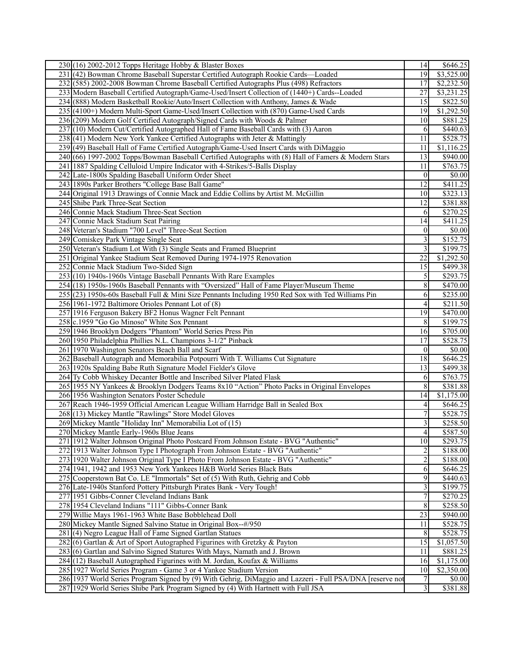| $230(16)$ 2002-2012 Topps Heritage Hobby & Blaster Boxes                                                  | 14                      | \$646.25             |
|-----------------------------------------------------------------------------------------------------------|-------------------------|----------------------|
| 231 (42) Bowman Chrome Baseball Superstar Certified Autograph Rookie Cards-Loaded                         | 19                      | \$3,525.00           |
| 232 (585) 2002-2008 Bowman Chrome Baseball Certified Autographs Plus (498) Refractors                     | 17                      | \$2,232.50           |
| 233 Modern Baseball Certified Autograph/Game-Used/Insert Collection of (1440+) Cards--Loaded              | 27                      | \$3,231.25           |
| 234 (888) Modern Basketball Rookie/Auto/Insert Collection with Anthony, James & Wade                      | 15                      | \$822.50             |
| 235 (4100+) Modern Multi-Sport Game-Used/Insert Collection with (870) Game-Used Cards                     | 19                      | \$1,292.50           |
| 236 (209) Modern Golf Certified Autograph/Signed Cards with Woods & Palmer                                | 10                      | \$881.25             |
| 237 (10) Modern Cut/Certified Autographed Hall of Fame Baseball Cards with (3) Aaron                      | 6                       | \$440.63             |
| 238(41) Modern New York Yankee Certified Autographs with Jeter & Mattingly                                | 11                      | \$528.75             |
| 239 (49) Baseball Hall of Fame Certified Autograph/Game-Used Insert Cards with DiMaggio                   | 11                      | \$1,116.25           |
| 240 (66) 1997-2002 Topps/Bowman Baseball Certified Autographs with (8) Hall of Famers & Modern Stars      | 13                      | \$940.00             |
| 241 1887 Spalding Celluloid Umpire Indicator with 4-Strikes/5-Balls Display                               | 11                      | \$763.75             |
| 242 Late-1800s Spalding Baseball Uniform Order Sheet                                                      | $\overline{0}$          | \$0.00               |
| 243 1890s Parker Brothers "College Base Ball Game"                                                        | 12                      | \$411.25             |
| 244 Original 1913 Drawings of Connie Mack and Eddie Collins by Artist M. McGillin                         | 10 <sup>1</sup>         | \$323.13             |
| 245 Shibe Park Three-Seat Section                                                                         | 12                      | \$381.88             |
| 246 Connie Mack Stadium Three-Seat Section                                                                | 6                       | \$270.25             |
| 247 Connie Mack Stadium Seat Pairing                                                                      | 14                      | $\overline{$}411.25$ |
| 248 Veteran's Stadium "700 Level" Three-Seat Section                                                      | $\vert 0 \vert$         | \$0.00               |
| 249 Comiskey Park Vintage Single Seat                                                                     | $\overline{\mathbf{3}}$ | \$152.75             |
| 250 Veteran's Stadium Lot With (3) Single Seats and Framed Blueprint                                      | $\overline{\mathbf{3}}$ | \$199.75             |
| 251 Original Yankee Stadium Seat Removed During 1974-1975 Renovation                                      | 22                      | \$1,292.50           |
| 252 Connie Mack Stadium Two-Sided Sign                                                                    | 15                      | \$499.38             |
| 253(10) 1940s-1960s Vintage Baseball Pennants With Rare Examples                                          | $\mathfrak{S}$          | \$293.75             |
| 254 (18) 1950s-1960s Baseball Pennants with "Oversized" Hall of Fame Player/Museum Theme                  | $8\,$                   | $\overline{$470.00}$ |
| 255 (23) 1950s-60s Baseball Full & Mini Size Pennants Including 1950 Red Sox with Ted Williams Pin        | 6                       | \$235.00             |
| 256 1961-1972 Baltimore Orioles Pennant Lot of (8)                                                        | $\vert 4 \vert$         | \$211.50             |
| 257 1916 Ferguson Bakery BF2 Honus Wagner Felt Pennant                                                    | 19                      | \$470.00             |
| 258 c.1959 "Go Go Minoso" White Sox Pennant                                                               | 8                       | \$199.75             |
| 259 1946 Brooklyn Dodgers "Phantom" World Series Press Pin                                                | 16                      | \$705.00             |
| 260 1950 Philadelphia Phillies N.L. Champions 3-1/2" Pinback                                              | $\overline{17}$         | \$528.75             |
| 261 1970 Washington Senators Beach Ball and Scarf                                                         | $\vert 0 \vert$         | $\overline{$0.00}$   |
| 262 Baseball Autograph and Memorabilia Potpourri With T. Williams Cut Signature                           | 18                      | \$646.25             |
| 263 1920s Spalding Babe Ruth Signature Model Fielder's Glove                                              | 13                      | \$499.38             |
| 264 Ty Cobb Whiskey Decanter Bottle and Inscribed Silver Plated Flask                                     | 6                       | \$763.75             |
| 265 1955 NY Yankees & Brooklyn Dodgers Teams 8x10 "Action" Photo Packs in Original Envelopes              | $8\,$                   | \$381.88             |
| 266 1956 Washington Senators Poster Schedule                                                              | 14                      | \$1,175.00           |
| 267 Reach 1946-1959 Official American League William Harridge Ball in Sealed Box                          | $\vert$                 | \$646.25             |
| 268 (13) Mickey Mantle "Rawlings" Store Model Gloves                                                      | $\tau$                  | \$528.75             |
| 269 Mickey Mantle "Holiday Inn" Memorabilia Lot of (15)                                                   | $\overline{\mathbf{3}}$ | \$258.50             |
| 270 Mickey Mantle Early-1960s Blue Jeans                                                                  | $\overline{4}$          | \$587.50             |
| 271 1912 Walter Johnson Original Photo Postcard From Johnson Estate - BVG "Authentic"                     | 10                      | \$293.75             |
| 272 1913 Walter Johnson Type I Photograph From Johnson Estate - BVG "Authentic"                           | $\overline{2}$          | \$188.00             |
| 273 1920 Walter Johnson Original Type I Photo From Johnson Estate - BVG "Authentic"                       | $\overline{2}$          | \$188.00             |
| 274 1941, 1942 and 1953 New York Yankees H&B World Series Black Bats                                      | 6                       | \$646.25             |
| 275 Cooperstown Bat Co. LE "Immortals" Set of (5) With Ruth, Gehrig and Cobb                              | 9                       | \$440.63             |
| 276 Late-1940s Stanford Pottery Pittsburgh Pirates Bank - Very Tough!                                     | $\overline{\mathbf{3}}$ | \$199.75             |
| 277 1951 Gibbs-Conner Cleveland Indians Bank                                                              | $\overline{7}$          | \$270.25             |
| 278 1954 Cleveland Indians "111" Gibbs-Conner Bank                                                        | 8                       | \$258.50             |
| 279 Willie Mays 1961-1963 White Base Bobblehead Doll                                                      | 23                      | \$940.00             |
| 280 Mickey Mantle Signed Salvino Statue in Original Box--#/950                                            | 11                      | \$528.75             |
| 281(4) Negro League Hall of Fame Signed Gartlan Statues                                                   | 8                       | \$528.75             |
| 282(6) Gartlan & Art of Sport Autographed Figurines with Gretzky & Payton                                 | 15                      | \$1,057.50           |
| 283(6) Gartlan and Salvino Signed Statures With Mays, Namath and J. Brown                                 | 11                      | \$881.25             |
| 284 (12) Baseball Autographed Figurines with M. Jordan, Koufax & Williams                                 | 16                      | \$1,175.00           |
| 285 1927 World Series Program - Game 3 or 4 Yankee Stadium Version                                        | 10                      | \$2,350.00           |
| 286 1937 World Series Program Signed by (9) With Gehrig, DiMaggio and Lazzeri - Full PSA/DNA [reserve not | $\overline{7}$          | \$0.00               |
| 287 1929 World Series Shibe Park Program Signed by (4) With Hartnett with Full JSA                        | 3 <sup>1</sup>          | \$381.88             |
|                                                                                                           |                         |                      |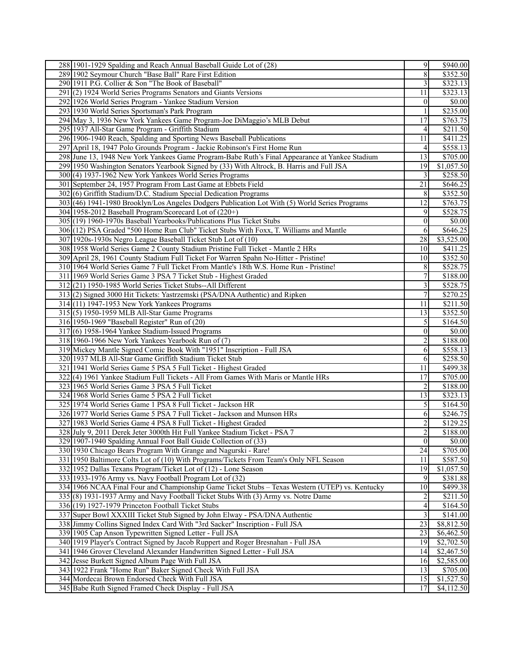| 288 1901-1929 Spalding and Reach Annual Baseball Guide Lot of (28)                                                                      | 9               | \$940.00                 |
|-----------------------------------------------------------------------------------------------------------------------------------------|-----------------|--------------------------|
| 289 1902 Seymour Church "Base Ball" Rare First Edition                                                                                  | $\overline{8}$  | \$352.50                 |
| 290 1911 P.G. Collier & Son "The Book of Baseball"                                                                                      | $\overline{3}$  | \$323.13                 |
| 291(2) 1924 World Series Programs Senators and Giants Versions                                                                          | 11              | \$323.13                 |
| 292 1926 World Series Program - Yankee Stadium Version                                                                                  | $\vert 0 \vert$ | \$0.00                   |
| 293 1930 World Series Sportsman's Park Program                                                                                          | $\overline{1}$  | \$235.00                 |
| 294 May 3, 1936 New York Yankees Game Program-Joe DiMaggio's MLB Debut                                                                  | 17              | \$763.75                 |
| 295 1937 All-Star Game Program - Griffith Stadium                                                                                       | 4               | \$211.50                 |
| 296 1906-1940 Reach, Spalding and Sporting News Baseball Publications                                                                   | 11              | \$411.25                 |
| 297 April 18, 1947 Polo Grounds Program - Jackie Robinson's First Home Run                                                              | 4 <sup>1</sup>  | \$558.13                 |
| 298 June 13, 1948 New York Yankees Game Program-Babe Ruth's Final Appearance at Yankee Stadium                                          | 13              | \$705.00                 |
| 299 1950 Washington Senators Yearbook Signed by (33) With Altrock, B. Harris and Full JSA                                               | 19              | $\overline{$1,057.50}$   |
| 300(4) 1937-1962 New York Yankees World Series Programs                                                                                 | $\overline{3}$  | \$258.50                 |
| 301 September 24, 1957 Program From Last Game at Ebbets Field                                                                           | 21              | \$646.25                 |
| 302 (6) Griffith Stadium/D.C. Stadium Special Dedication Programs                                                                       | 8               | \$352.50                 |
| 303 (46) 1941-1980 Brooklyn/Los Angeles Dodgers Publication Lot With (5) World Series Programs                                          | 12              | \$763.75                 |
| 304 1958-2012 Baseball Program/Scorecard Lot of (220+)                                                                                  | 9               | \$528.75                 |
| 305 (19) 1960-1970s Baseball Yearbooks/Publications Plus Ticket Stubs                                                                   | $\vert 0 \vert$ | $\sqrt{$0.00}$           |
| 306 (12) PSA Graded "500 Home Run Club" Ticket Stubs With Foxx, T. Williams and Mantle                                                  | 6               | \$646.25                 |
| 307 1920s-1930s Negro League Baseball Ticket Stub Lot of (10)                                                                           | 28              | \$3,525.00               |
| 308 1958 World Series Game 2 County Stadium Pristine Full Ticket - Mantle 2 HRs                                                         | 10              | \$411.25                 |
| 309 April 28, 1961 County Stadium Full Ticket For Warren Spahn No-Hitter - Pristine!                                                    | 10              | \$352.50                 |
| 310 1964 World Series Game 7 Full Ticket From Mantle's 18th W.S. Home Run - Pristine!                                                   | 8 <sup>l</sup>  | \$528.75                 |
| 311 1969 World Series Game 3 PSA 7 Ticket Stub - Highest Graded                                                                         | $\overline{7}$  | \$188.00                 |
| 312(21) 1950-1985 World Series Ticket Stubs--All Different                                                                              | $\overline{3}$  | \$528.75                 |
| 313(2) Signed 3000 Hit Tickets: Yastrzemski (PSA/DNA Authentic) and Ripken                                                              | 7               | \$270.25                 |
| 314 (11) 1947-1953 New York Yankees Programs                                                                                            | 11              | \$211.50                 |
| 315 (5) 1950-1959 MLB All-Star Game Programs                                                                                            | 13              | \$352.50                 |
| 316 1950-1969 "Baseball Register" Run of (20)                                                                                           | 5               | \$164.50                 |
| 317(6) 1958-1964 Yankee Stadium-Issued Programs                                                                                         | $\overline{0}$  | \$0.00                   |
| 318 1960-1966 New York Yankees Yearbook Run of (7)                                                                                      | $\overline{2}$  | \$188.00                 |
| 319 Mickey Mantle Signed Comic Book With "1951" Inscription - Full JSA                                                                  | 6               | \$558.13                 |
| 320 1937 MLB All-Star Game Griffith Stadium Ticket Stub                                                                                 | 6               | \$258.50                 |
| 321 1941 World Series Game 5 PSA 5 Full Ticket - Highest Graded                                                                         | 11              | \$499.38                 |
| 322(4) 1961 Yankee Stadium Full Tickets - All From Games With Maris or Mantle HRs                                                       | 17              | \$705.00                 |
| 323 1965 World Series Game 3 PSA 5 Full Ticket                                                                                          | $\overline{2}$  | \$188.00                 |
| 324 1968 World Series Game 5 PSA 2 Full Ticket                                                                                          | 13              | \$323.13                 |
| 325 1974 World Series Game 1 PSA 8 Full Ticket - Jackson HR                                                                             | 5 <sup>1</sup>  | \$164.50                 |
| 326 1977 World Series Game 5 PSA 7 Full Ticket - Jackson and Munson HRs                                                                 | 6               | \$246.75                 |
| 327 1983 World Series Game 4 PSA 8 Full Ticket - Highest Graded                                                                         | $\overline{2}$  | \$129.25                 |
| 328 July 9, 2011 Derek Jeter 3000th Hit Full Yankee Stadium Ticket - PSA 7                                                              | $\overline{2}$  | \$188.00                 |
| 329 1907-1940 Spalding Annual Foot Ball Guide Collection of (33)                                                                        | $\vert 0 \vert$ | \$0.00                   |
| 330 1930 Chicago Bears Program With Grange and Nagurski - Rare!                                                                         | 24              | \$705.00                 |
| 331 1950 Baltimore Colts Lot of (10) With Programs/Tickets From Team's Only NFL Season                                                  | 11              | \$587.50                 |
| 332 1952 Dallas Texans Program/Ticket Lot of (12) - Lone Season                                                                         | 19              | \$1,057.50               |
| 333 1933-1976 Army vs. Navy Football Program Lot of (32)                                                                                | 9               | \$381.88                 |
| 334 1966 NCAA Final Four and Championship Game Ticket Stubs - Texas Western (UTEP) vs. Kentucky                                         | 10              | \$499.38                 |
| 335 (8) 1931-1937 Army and Navy Football Ticket Stubs With (3) Army vs. Notre Dame                                                      | $\overline{2}$  | \$211.50                 |
| 336(19) 1927-1979 Princeton Football Ticket Stubs                                                                                       | $\vert 4 \vert$ | \$164.50                 |
| 337 Super Bowl XXXIII Ticket Stub Signed by John Elway - PSA/DNA Authentic                                                              | $\overline{3}$  | \$141.00                 |
| 338 Jimmy Collins Signed Index Card With "3rd Sacker" Inscription - Full JSA<br>339 1905 Cap Anson Typewritten Signed Letter - Full JSA | 23<br>23        | \$8,812.50               |
| 340 1919 Player's Contract Signed by Jacob Ruppert and Roger Bresnahan - Full JSA                                                       | 19              | \$6,462.50<br>\$2,702.50 |
|                                                                                                                                         | 14              |                          |
| 341 1946 Grover Cleveland Alexander Handwritten Signed Letter - Full JSA<br>342 Jesse Burkett Signed Album Page With Full JSA           | 16              | \$2,467.50<br>\$2,585.00 |
| 343 1922 Frank "Home Run" Baker Signed Check With Full JSA                                                                              | 13              | \$705.00                 |
| 344 Mordecai Brown Endorsed Check With Full JSA                                                                                         | 15              | \$1,527.50               |
| 345 Babe Ruth Signed Framed Check Display - Full JSA                                                                                    | 17              | \$4,112.50               |
|                                                                                                                                         |                 |                          |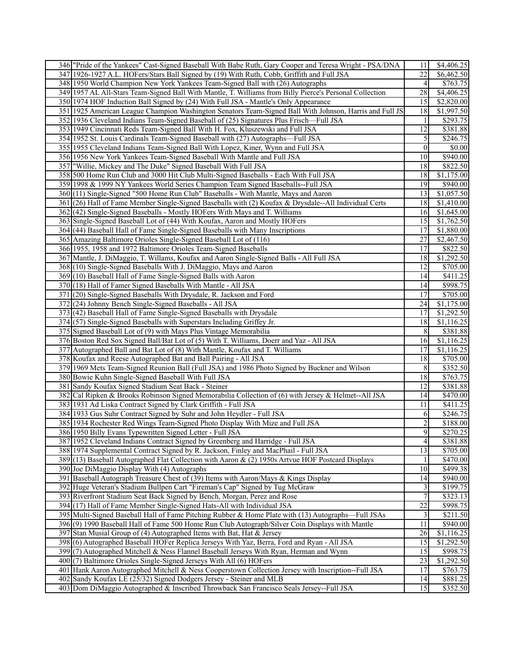| 22<br>347 1926-1927 A.L. HOFers/Stars Ball Signed by (19) With Ruth, Cobb, Griffith and Full JSA<br>\$6,462.50<br>\$763.75<br>348 1950 World Champion New York Yankees Team-Signed Ball with (26) Autographs<br>4<br>349 1957 AL All-Stars Team-Signed Ball With Mantle, T. Williams from Billy Pierce's Personal Collection<br>28<br>\$4,406.25<br>350 1974 HOF Induction Ball Signed by (24) With Full JSA - Mantle's Only Appearance<br>15<br>\$2,820.00<br>351 1925 American League Champion Washington Senators Team-Signed Ball With Johnson, Harris and Full JS<br>18<br>\$1,997.50<br>\$293.75<br>352 1936 Cleveland Indians Team-Signed Baseball of (25) Signatures Plus Frisch—Full JSA<br>1<br>353 1949 Cincinnati Reds Team-Signed Ball With H. Fox, Kluszewski and Full JSA<br>12<br>3381.88<br>$\mathfrak{S}$<br>354 1952 St. Louis Cardinals Team-Signed Baseball with (27) Autographs-Full JSA<br>\$246.75<br>\$0.00<br>355 1955 Cleveland Indians Team-Signed Ball With Lopez, Kiner, Wynn and Full JSA<br>$\vert 0 \vert$<br>\$940.00<br>356 1956 New York Yankees Team-Signed Baseball With Mantle and Full JSA<br>10<br>357 Willie, Mickey and The Duke" Signed Baseball With Full JSA<br>18<br>\$822.50<br>18<br>\$1,175.00<br>358 500 Home Run Club and 3000 Hit Club Multi-Signed Baseballs - Each With Full JSA<br>359 1998 & 1999 NY Yankees World Series Champion Team Signed Baseballs--Full JSA<br>\$940.00<br>19<br>360 (11) Single-Signed "500 Home Run Club" Baseballs - With Mantle, Mays and Aaron<br>\$1,057.50<br>13<br>\$1,410.00<br>361 (26) Hall of Fame Member Single-Signed Baseballs with (2) Koufax & Drysdale--All Individual Certs<br>18<br>362(42) Single-Signed Baseballs - Mostly HOFers With Mays and T. Williams<br>\$1,645.00<br>16<br>15<br>\$1,762.50<br>363 Single-Signed Baseball Lot of (44) With Koufax, Aaron and Mostly HOFers<br>364 (44) Baseball Hall of Fame Single-Signed Baseballs with Many Inscriptions<br>17<br>\$1,880.00<br>27<br>\$2,467.50<br>365 Amazing Baltimore Orioles Single-Signed Baseball Lot of (116)<br>366 1955, 1958 and 1972 Baltimore Orioles Team-Signed Baseballs<br>\$822.50<br>17<br>367 Mantle, J. DiMaggio, T. Willams, Koufax and Aaron Single-Signed Balls - All Full JSA<br>\$1,292.50<br>18<br>368(10) Single-Signed Baseballs With J. DiMaggio, Mays and Aaron<br>12<br>\$705.00<br>369 (10) Baseball Hall of Fame Single-Signed Balls with Aaron<br>14<br>$\overline{$}411.25$<br>\$998.75<br>370 (18) Hall of Famer Signed Baseballs With Mantle - All JSA<br>14<br>\$705.00<br>371 (20) Single-Signed Baseballs With Drysdale, R. Jackson and Ford<br>17<br>\$1,175.00<br>372(24) Johnny Bench Single-Signed Baseballs - All JSA<br>24<br>373 (42) Baseball Hall of Fame Single-Signed Baseballs with Drysdale<br>17<br>\$1,292.50<br>374(57) Single-Signed Baseballs with Superstars Including Griffey Jr.<br>18<br>\$1,116.25<br>375 Signed Baseball Lot of (9) with Mays Plus Vintage Memorabilia<br>8<br>\$381.88<br>\$1,116.25<br>376 Boston Red Sox Signed Ball/Bat Lot of (5) With T. Williams, Doerr and Yaz - All JSA<br>16<br>377 Autographed Ball and Bat Lot of (8) With Mantle, Koufax and T. Williams<br>17<br>\$1,116.25<br>\$705.00<br>378 Koufax and Reese Autographed Bat and Ball Pairing - All JSA<br>18<br>\$352.50<br>379 1969 Mets Team-Signed Reunion Ball (Full JSA) and 1986 Photo Signed by Buckner and Wilson<br>8<br>18<br>\$763.75<br>380 Bowie Kuhn Single-Signed Baseball With Full JSA<br>12<br>\$381.88<br>381 Sandy Koufax Signed Stadium Seat Back - Steiner<br>382 Cal Ripken & Brooks Robinson Signed Memorabilia Collection of (6) with Jersey & Helmet--All JSA<br>14<br>\$470.00<br>\$411.25<br>383 1931 Ad Liska Contract Signed by Clark Griffith - Full JSA<br>11<br>384 1933 Gus Suhr Contract Signed by Suhr and John Heydler - Full JSA<br>\$246.75<br>6<br>$\overline{2}$<br>385 1934 Rochester Red Wings Team-Signed Photo Display With Mize and Full JSA<br>\$188.00<br>$\overline{9}$<br>386 1950 Billy Evans Typewritten Signed Letter - Full JSA<br>\$270.25<br>387 1952 Cleveland Indians Contract Signed by Greenberg and Harridge - Full JSA<br>$\overline{4}$<br>\$381.88<br>$\overline{13}$<br>388 1974 Supplemental Contract Signed by R. Jackson, Finley and MacPhail - Full JSA<br>\$705.00<br>\$470.00<br>389 (13) Baseball Autographed Flat Collection with Aaron & (2) 1950s Artvue HOF Postcard Displays<br>$\left  \right $<br>390 Joe DiMaggio Display With (4) Autographs<br>10<br>\$499.38<br>391 Baseball Autograph Treasure Chest of (39) Items with Aaron/Mays & Kings Display<br>\$940.00<br>14<br>392 Huge Veteran's Stadium Bullpen Cart "Fireman's Cap" Signed by Tug McGraw<br>$\overline{\mathbf{3}}$<br>\$199.75<br>$\overline{7}$<br>\$323.13<br>393 Riverfront Stadium Seat Back Signed by Bench, Morgan, Perez and Rose<br>$\overline{22}$<br>\$998.75<br>394 (17) Hall of Fame Member Single-Signed Hats-All with Individual JSA<br>395 Multi-Signed Baseball Hall of Fame Pitching Rubber & Home Plate with (13) Autographs—Full JSAs<br>$\overline{\mathbf{3}}$<br>\$211.50<br>396(9) 1990 Baseball Hall of Fame 500 Home Run Club Autograph/Silver Coin Displays with Mantle<br>11<br>\$940.00]<br>\$1,116.25<br>397 Stan Musial Group of (4) Autographed Items with Bat, Hat & Jersey<br>26<br>15<br>398 (6) Autographed Baseball HOFer Replica Jerseys With Yaz, Berra, Ford and Ryan - All JSA<br>\$1,292.50<br>15<br>\$998.75<br>399(7) Autographed Mitchell & Ness Flannel Baseball Jerseys With Ryan, Herman and Wynn<br>$\overline{23}$<br>\$1,292.50<br>400(7) Baltimore Orioles Single-Signed Jerseys With All (6) HOFers<br>\$763.75<br>401 Hank Aaron Autographed Mitchell & Ness Cooperstown Collection Jersey with Inscription--Full JSA<br>17<br>402 Sandy Koufax LE (25/32) Signed Dodgers Jersey - Steiner and MLB<br>\$881.25<br>14<br>15 | 346 Tride of the Yankees" Cast-Signed Baseball With Babe Ruth, Gary Cooper and Teresa Wright - PSA/DNA | 11 | \$4,406.25 |
|------------------------------------------------------------------------------------------------------------------------------------------------------------------------------------------------------------------------------------------------------------------------------------------------------------------------------------------------------------------------------------------------------------------------------------------------------------------------------------------------------------------------------------------------------------------------------------------------------------------------------------------------------------------------------------------------------------------------------------------------------------------------------------------------------------------------------------------------------------------------------------------------------------------------------------------------------------------------------------------------------------------------------------------------------------------------------------------------------------------------------------------------------------------------------------------------------------------------------------------------------------------------------------------------------------------------------------------------------------------------------------------------------------------------------------------------------------------------------------------------------------------------------------------------------------------------------------------------------------------------------------------------------------------------------------------------------------------------------------------------------------------------------------------------------------------------------------------------------------------------------------------------------------------------------------------------------------------------------------------------------------------------------------------------------------------------------------------------------------------------------------------------------------------------------------------------------------------------------------------------------------------------------------------------------------------------------------------------------------------------------------------------------------------------------------------------------------------------------------------------------------------------------------------------------------------------------------------------------------------------------------------------------------------------------------------------------------------------------------------------------------------------------------------------------------------------------------------------------------------------------------------------------------------------------------------------------------------------------------------------------------------------------------------------------------------------------------------------------------------------------------------------------------------------------------------------------------------------------------------------------------------------------------------------------------------------------------------------------------------------------------------------------------------------------------------------------------------------------------------------------------------------------------------------------------------------------------------------------------------------------------------------------------------------------------------------------------------------------------------------------------------------------------------------------------------------------------------------------------------------------------------------------------------------------------------------------------------------------------------------------------------------------------------------------------------------------------------------------------------------------------------------------------------------------------------------------------------------------------------------------------------------------------------------------------------------------------------------------------------------------------------------------------------------------------------------------------------------------------------------------------------------------------------------------------------------------------------------------------------------------------------------------------------------------------------------------------------------------------------------------------------------------------------------------------------------------------------------------------------------------------------------------------------------------------------------------------------------------------------------------------------------------------------------------------------------------------------------------------------------------------------------------------------------------------------------------------------------------------------------------------------------------------------------------------------------------------------------------------------------------------------------------------------------------------------------------------------------------------------------------------------------------------------------------------------------------------------------------------------------------------------------------------------------------------------------------------------------------------------------------------------------------------------------------------------------------------------------------------------------------------------------------------------------------------------------------|--------------------------------------------------------------------------------------------------------|----|------------|
|                                                                                                                                                                                                                                                                                                                                                                                                                                                                                                                                                                                                                                                                                                                                                                                                                                                                                                                                                                                                                                                                                                                                                                                                                                                                                                                                                                                                                                                                                                                                                                                                                                                                                                                                                                                                                                                                                                                                                                                                                                                                                                                                                                                                                                                                                                                                                                                                                                                                                                                                                                                                                                                                                                                                                                                                                                                                                                                                                                                                                                                                                                                                                                                                                                                                                                                                                                                                                                                                                                                                                                                                                                                                                                                                                                                                                                                                                                                                                                                                                                                                                                                                                                                                                                                                                                                                                                                                                                                                                                                                                                                                                                                                                                                                                                                                                                                                                                                                                                                                                                                                                                                                                                                                                                                                                                                                                                                                                                                                                                                                                                                                                                                                                                                                                                                                                                                                                                                                                      |                                                                                                        |    |            |
|                                                                                                                                                                                                                                                                                                                                                                                                                                                                                                                                                                                                                                                                                                                                                                                                                                                                                                                                                                                                                                                                                                                                                                                                                                                                                                                                                                                                                                                                                                                                                                                                                                                                                                                                                                                                                                                                                                                                                                                                                                                                                                                                                                                                                                                                                                                                                                                                                                                                                                                                                                                                                                                                                                                                                                                                                                                                                                                                                                                                                                                                                                                                                                                                                                                                                                                                                                                                                                                                                                                                                                                                                                                                                                                                                                                                                                                                                                                                                                                                                                                                                                                                                                                                                                                                                                                                                                                                                                                                                                                                                                                                                                                                                                                                                                                                                                                                                                                                                                                                                                                                                                                                                                                                                                                                                                                                                                                                                                                                                                                                                                                                                                                                                                                                                                                                                                                                                                                                                      |                                                                                                        |    |            |
|                                                                                                                                                                                                                                                                                                                                                                                                                                                                                                                                                                                                                                                                                                                                                                                                                                                                                                                                                                                                                                                                                                                                                                                                                                                                                                                                                                                                                                                                                                                                                                                                                                                                                                                                                                                                                                                                                                                                                                                                                                                                                                                                                                                                                                                                                                                                                                                                                                                                                                                                                                                                                                                                                                                                                                                                                                                                                                                                                                                                                                                                                                                                                                                                                                                                                                                                                                                                                                                                                                                                                                                                                                                                                                                                                                                                                                                                                                                                                                                                                                                                                                                                                                                                                                                                                                                                                                                                                                                                                                                                                                                                                                                                                                                                                                                                                                                                                                                                                                                                                                                                                                                                                                                                                                                                                                                                                                                                                                                                                                                                                                                                                                                                                                                                                                                                                                                                                                                                                      |                                                                                                        |    |            |
|                                                                                                                                                                                                                                                                                                                                                                                                                                                                                                                                                                                                                                                                                                                                                                                                                                                                                                                                                                                                                                                                                                                                                                                                                                                                                                                                                                                                                                                                                                                                                                                                                                                                                                                                                                                                                                                                                                                                                                                                                                                                                                                                                                                                                                                                                                                                                                                                                                                                                                                                                                                                                                                                                                                                                                                                                                                                                                                                                                                                                                                                                                                                                                                                                                                                                                                                                                                                                                                                                                                                                                                                                                                                                                                                                                                                                                                                                                                                                                                                                                                                                                                                                                                                                                                                                                                                                                                                                                                                                                                                                                                                                                                                                                                                                                                                                                                                                                                                                                                                                                                                                                                                                                                                                                                                                                                                                                                                                                                                                                                                                                                                                                                                                                                                                                                                                                                                                                                                                      |                                                                                                        |    |            |
|                                                                                                                                                                                                                                                                                                                                                                                                                                                                                                                                                                                                                                                                                                                                                                                                                                                                                                                                                                                                                                                                                                                                                                                                                                                                                                                                                                                                                                                                                                                                                                                                                                                                                                                                                                                                                                                                                                                                                                                                                                                                                                                                                                                                                                                                                                                                                                                                                                                                                                                                                                                                                                                                                                                                                                                                                                                                                                                                                                                                                                                                                                                                                                                                                                                                                                                                                                                                                                                                                                                                                                                                                                                                                                                                                                                                                                                                                                                                                                                                                                                                                                                                                                                                                                                                                                                                                                                                                                                                                                                                                                                                                                                                                                                                                                                                                                                                                                                                                                                                                                                                                                                                                                                                                                                                                                                                                                                                                                                                                                                                                                                                                                                                                                                                                                                                                                                                                                                                                      |                                                                                                        |    |            |
|                                                                                                                                                                                                                                                                                                                                                                                                                                                                                                                                                                                                                                                                                                                                                                                                                                                                                                                                                                                                                                                                                                                                                                                                                                                                                                                                                                                                                                                                                                                                                                                                                                                                                                                                                                                                                                                                                                                                                                                                                                                                                                                                                                                                                                                                                                                                                                                                                                                                                                                                                                                                                                                                                                                                                                                                                                                                                                                                                                                                                                                                                                                                                                                                                                                                                                                                                                                                                                                                                                                                                                                                                                                                                                                                                                                                                                                                                                                                                                                                                                                                                                                                                                                                                                                                                                                                                                                                                                                                                                                                                                                                                                                                                                                                                                                                                                                                                                                                                                                                                                                                                                                                                                                                                                                                                                                                                                                                                                                                                                                                                                                                                                                                                                                                                                                                                                                                                                                                                      |                                                                                                        |    |            |
|                                                                                                                                                                                                                                                                                                                                                                                                                                                                                                                                                                                                                                                                                                                                                                                                                                                                                                                                                                                                                                                                                                                                                                                                                                                                                                                                                                                                                                                                                                                                                                                                                                                                                                                                                                                                                                                                                                                                                                                                                                                                                                                                                                                                                                                                                                                                                                                                                                                                                                                                                                                                                                                                                                                                                                                                                                                                                                                                                                                                                                                                                                                                                                                                                                                                                                                                                                                                                                                                                                                                                                                                                                                                                                                                                                                                                                                                                                                                                                                                                                                                                                                                                                                                                                                                                                                                                                                                                                                                                                                                                                                                                                                                                                                                                                                                                                                                                                                                                                                                                                                                                                                                                                                                                                                                                                                                                                                                                                                                                                                                                                                                                                                                                                                                                                                                                                                                                                                                                      |                                                                                                        |    |            |
|                                                                                                                                                                                                                                                                                                                                                                                                                                                                                                                                                                                                                                                                                                                                                                                                                                                                                                                                                                                                                                                                                                                                                                                                                                                                                                                                                                                                                                                                                                                                                                                                                                                                                                                                                                                                                                                                                                                                                                                                                                                                                                                                                                                                                                                                                                                                                                                                                                                                                                                                                                                                                                                                                                                                                                                                                                                                                                                                                                                                                                                                                                                                                                                                                                                                                                                                                                                                                                                                                                                                                                                                                                                                                                                                                                                                                                                                                                                                                                                                                                                                                                                                                                                                                                                                                                                                                                                                                                                                                                                                                                                                                                                                                                                                                                                                                                                                                                                                                                                                                                                                                                                                                                                                                                                                                                                                                                                                                                                                                                                                                                                                                                                                                                                                                                                                                                                                                                                                                      |                                                                                                        |    |            |
|                                                                                                                                                                                                                                                                                                                                                                                                                                                                                                                                                                                                                                                                                                                                                                                                                                                                                                                                                                                                                                                                                                                                                                                                                                                                                                                                                                                                                                                                                                                                                                                                                                                                                                                                                                                                                                                                                                                                                                                                                                                                                                                                                                                                                                                                                                                                                                                                                                                                                                                                                                                                                                                                                                                                                                                                                                                                                                                                                                                                                                                                                                                                                                                                                                                                                                                                                                                                                                                                                                                                                                                                                                                                                                                                                                                                                                                                                                                                                                                                                                                                                                                                                                                                                                                                                                                                                                                                                                                                                                                                                                                                                                                                                                                                                                                                                                                                                                                                                                                                                                                                                                                                                                                                                                                                                                                                                                                                                                                                                                                                                                                                                                                                                                                                                                                                                                                                                                                                                      |                                                                                                        |    |            |
|                                                                                                                                                                                                                                                                                                                                                                                                                                                                                                                                                                                                                                                                                                                                                                                                                                                                                                                                                                                                                                                                                                                                                                                                                                                                                                                                                                                                                                                                                                                                                                                                                                                                                                                                                                                                                                                                                                                                                                                                                                                                                                                                                                                                                                                                                                                                                                                                                                                                                                                                                                                                                                                                                                                                                                                                                                                                                                                                                                                                                                                                                                                                                                                                                                                                                                                                                                                                                                                                                                                                                                                                                                                                                                                                                                                                                                                                                                                                                                                                                                                                                                                                                                                                                                                                                                                                                                                                                                                                                                                                                                                                                                                                                                                                                                                                                                                                                                                                                                                                                                                                                                                                                                                                                                                                                                                                                                                                                                                                                                                                                                                                                                                                                                                                                                                                                                                                                                                                                      |                                                                                                        |    |            |
|                                                                                                                                                                                                                                                                                                                                                                                                                                                                                                                                                                                                                                                                                                                                                                                                                                                                                                                                                                                                                                                                                                                                                                                                                                                                                                                                                                                                                                                                                                                                                                                                                                                                                                                                                                                                                                                                                                                                                                                                                                                                                                                                                                                                                                                                                                                                                                                                                                                                                                                                                                                                                                                                                                                                                                                                                                                                                                                                                                                                                                                                                                                                                                                                                                                                                                                                                                                                                                                                                                                                                                                                                                                                                                                                                                                                                                                                                                                                                                                                                                                                                                                                                                                                                                                                                                                                                                                                                                                                                                                                                                                                                                                                                                                                                                                                                                                                                                                                                                                                                                                                                                                                                                                                                                                                                                                                                                                                                                                                                                                                                                                                                                                                                                                                                                                                                                                                                                                                                      |                                                                                                        |    |            |
|                                                                                                                                                                                                                                                                                                                                                                                                                                                                                                                                                                                                                                                                                                                                                                                                                                                                                                                                                                                                                                                                                                                                                                                                                                                                                                                                                                                                                                                                                                                                                                                                                                                                                                                                                                                                                                                                                                                                                                                                                                                                                                                                                                                                                                                                                                                                                                                                                                                                                                                                                                                                                                                                                                                                                                                                                                                                                                                                                                                                                                                                                                                                                                                                                                                                                                                                                                                                                                                                                                                                                                                                                                                                                                                                                                                                                                                                                                                                                                                                                                                                                                                                                                                                                                                                                                                                                                                                                                                                                                                                                                                                                                                                                                                                                                                                                                                                                                                                                                                                                                                                                                                                                                                                                                                                                                                                                                                                                                                                                                                                                                                                                                                                                                                                                                                                                                                                                                                                                      |                                                                                                        |    |            |
|                                                                                                                                                                                                                                                                                                                                                                                                                                                                                                                                                                                                                                                                                                                                                                                                                                                                                                                                                                                                                                                                                                                                                                                                                                                                                                                                                                                                                                                                                                                                                                                                                                                                                                                                                                                                                                                                                                                                                                                                                                                                                                                                                                                                                                                                                                                                                                                                                                                                                                                                                                                                                                                                                                                                                                                                                                                                                                                                                                                                                                                                                                                                                                                                                                                                                                                                                                                                                                                                                                                                                                                                                                                                                                                                                                                                                                                                                                                                                                                                                                                                                                                                                                                                                                                                                                                                                                                                                                                                                                                                                                                                                                                                                                                                                                                                                                                                                                                                                                                                                                                                                                                                                                                                                                                                                                                                                                                                                                                                                                                                                                                                                                                                                                                                                                                                                                                                                                                                                      |                                                                                                        |    |            |
|                                                                                                                                                                                                                                                                                                                                                                                                                                                                                                                                                                                                                                                                                                                                                                                                                                                                                                                                                                                                                                                                                                                                                                                                                                                                                                                                                                                                                                                                                                                                                                                                                                                                                                                                                                                                                                                                                                                                                                                                                                                                                                                                                                                                                                                                                                                                                                                                                                                                                                                                                                                                                                                                                                                                                                                                                                                                                                                                                                                                                                                                                                                                                                                                                                                                                                                                                                                                                                                                                                                                                                                                                                                                                                                                                                                                                                                                                                                                                                                                                                                                                                                                                                                                                                                                                                                                                                                                                                                                                                                                                                                                                                                                                                                                                                                                                                                                                                                                                                                                                                                                                                                                                                                                                                                                                                                                                                                                                                                                                                                                                                                                                                                                                                                                                                                                                                                                                                                                                      |                                                                                                        |    |            |
|                                                                                                                                                                                                                                                                                                                                                                                                                                                                                                                                                                                                                                                                                                                                                                                                                                                                                                                                                                                                                                                                                                                                                                                                                                                                                                                                                                                                                                                                                                                                                                                                                                                                                                                                                                                                                                                                                                                                                                                                                                                                                                                                                                                                                                                                                                                                                                                                                                                                                                                                                                                                                                                                                                                                                                                                                                                                                                                                                                                                                                                                                                                                                                                                                                                                                                                                                                                                                                                                                                                                                                                                                                                                                                                                                                                                                                                                                                                                                                                                                                                                                                                                                                                                                                                                                                                                                                                                                                                                                                                                                                                                                                                                                                                                                                                                                                                                                                                                                                                                                                                                                                                                                                                                                                                                                                                                                                                                                                                                                                                                                                                                                                                                                                                                                                                                                                                                                                                                                      |                                                                                                        |    |            |
|                                                                                                                                                                                                                                                                                                                                                                                                                                                                                                                                                                                                                                                                                                                                                                                                                                                                                                                                                                                                                                                                                                                                                                                                                                                                                                                                                                                                                                                                                                                                                                                                                                                                                                                                                                                                                                                                                                                                                                                                                                                                                                                                                                                                                                                                                                                                                                                                                                                                                                                                                                                                                                                                                                                                                                                                                                                                                                                                                                                                                                                                                                                                                                                                                                                                                                                                                                                                                                                                                                                                                                                                                                                                                                                                                                                                                                                                                                                                                                                                                                                                                                                                                                                                                                                                                                                                                                                                                                                                                                                                                                                                                                                                                                                                                                                                                                                                                                                                                                                                                                                                                                                                                                                                                                                                                                                                                                                                                                                                                                                                                                                                                                                                                                                                                                                                                                                                                                                                                      |                                                                                                        |    |            |
|                                                                                                                                                                                                                                                                                                                                                                                                                                                                                                                                                                                                                                                                                                                                                                                                                                                                                                                                                                                                                                                                                                                                                                                                                                                                                                                                                                                                                                                                                                                                                                                                                                                                                                                                                                                                                                                                                                                                                                                                                                                                                                                                                                                                                                                                                                                                                                                                                                                                                                                                                                                                                                                                                                                                                                                                                                                                                                                                                                                                                                                                                                                                                                                                                                                                                                                                                                                                                                                                                                                                                                                                                                                                                                                                                                                                                                                                                                                                                                                                                                                                                                                                                                                                                                                                                                                                                                                                                                                                                                                                                                                                                                                                                                                                                                                                                                                                                                                                                                                                                                                                                                                                                                                                                                                                                                                                                                                                                                                                                                                                                                                                                                                                                                                                                                                                                                                                                                                                                      |                                                                                                        |    |            |
|                                                                                                                                                                                                                                                                                                                                                                                                                                                                                                                                                                                                                                                                                                                                                                                                                                                                                                                                                                                                                                                                                                                                                                                                                                                                                                                                                                                                                                                                                                                                                                                                                                                                                                                                                                                                                                                                                                                                                                                                                                                                                                                                                                                                                                                                                                                                                                                                                                                                                                                                                                                                                                                                                                                                                                                                                                                                                                                                                                                                                                                                                                                                                                                                                                                                                                                                                                                                                                                                                                                                                                                                                                                                                                                                                                                                                                                                                                                                                                                                                                                                                                                                                                                                                                                                                                                                                                                                                                                                                                                                                                                                                                                                                                                                                                                                                                                                                                                                                                                                                                                                                                                                                                                                                                                                                                                                                                                                                                                                                                                                                                                                                                                                                                                                                                                                                                                                                                                                                      |                                                                                                        |    |            |
|                                                                                                                                                                                                                                                                                                                                                                                                                                                                                                                                                                                                                                                                                                                                                                                                                                                                                                                                                                                                                                                                                                                                                                                                                                                                                                                                                                                                                                                                                                                                                                                                                                                                                                                                                                                                                                                                                                                                                                                                                                                                                                                                                                                                                                                                                                                                                                                                                                                                                                                                                                                                                                                                                                                                                                                                                                                                                                                                                                                                                                                                                                                                                                                                                                                                                                                                                                                                                                                                                                                                                                                                                                                                                                                                                                                                                                                                                                                                                                                                                                                                                                                                                                                                                                                                                                                                                                                                                                                                                                                                                                                                                                                                                                                                                                                                                                                                                                                                                                                                                                                                                                                                                                                                                                                                                                                                                                                                                                                                                                                                                                                                                                                                                                                                                                                                                                                                                                                                                      |                                                                                                        |    |            |
|                                                                                                                                                                                                                                                                                                                                                                                                                                                                                                                                                                                                                                                                                                                                                                                                                                                                                                                                                                                                                                                                                                                                                                                                                                                                                                                                                                                                                                                                                                                                                                                                                                                                                                                                                                                                                                                                                                                                                                                                                                                                                                                                                                                                                                                                                                                                                                                                                                                                                                                                                                                                                                                                                                                                                                                                                                                                                                                                                                                                                                                                                                                                                                                                                                                                                                                                                                                                                                                                                                                                                                                                                                                                                                                                                                                                                                                                                                                                                                                                                                                                                                                                                                                                                                                                                                                                                                                                                                                                                                                                                                                                                                                                                                                                                                                                                                                                                                                                                                                                                                                                                                                                                                                                                                                                                                                                                                                                                                                                                                                                                                                                                                                                                                                                                                                                                                                                                                                                                      |                                                                                                        |    |            |
|                                                                                                                                                                                                                                                                                                                                                                                                                                                                                                                                                                                                                                                                                                                                                                                                                                                                                                                                                                                                                                                                                                                                                                                                                                                                                                                                                                                                                                                                                                                                                                                                                                                                                                                                                                                                                                                                                                                                                                                                                                                                                                                                                                                                                                                                                                                                                                                                                                                                                                                                                                                                                                                                                                                                                                                                                                                                                                                                                                                                                                                                                                                                                                                                                                                                                                                                                                                                                                                                                                                                                                                                                                                                                                                                                                                                                                                                                                                                                                                                                                                                                                                                                                                                                                                                                                                                                                                                                                                                                                                                                                                                                                                                                                                                                                                                                                                                                                                                                                                                                                                                                                                                                                                                                                                                                                                                                                                                                                                                                                                                                                                                                                                                                                                                                                                                                                                                                                                                                      |                                                                                                        |    |            |
|                                                                                                                                                                                                                                                                                                                                                                                                                                                                                                                                                                                                                                                                                                                                                                                                                                                                                                                                                                                                                                                                                                                                                                                                                                                                                                                                                                                                                                                                                                                                                                                                                                                                                                                                                                                                                                                                                                                                                                                                                                                                                                                                                                                                                                                                                                                                                                                                                                                                                                                                                                                                                                                                                                                                                                                                                                                                                                                                                                                                                                                                                                                                                                                                                                                                                                                                                                                                                                                                                                                                                                                                                                                                                                                                                                                                                                                                                                                                                                                                                                                                                                                                                                                                                                                                                                                                                                                                                                                                                                                                                                                                                                                                                                                                                                                                                                                                                                                                                                                                                                                                                                                                                                                                                                                                                                                                                                                                                                                                                                                                                                                                                                                                                                                                                                                                                                                                                                                                                      |                                                                                                        |    |            |
|                                                                                                                                                                                                                                                                                                                                                                                                                                                                                                                                                                                                                                                                                                                                                                                                                                                                                                                                                                                                                                                                                                                                                                                                                                                                                                                                                                                                                                                                                                                                                                                                                                                                                                                                                                                                                                                                                                                                                                                                                                                                                                                                                                                                                                                                                                                                                                                                                                                                                                                                                                                                                                                                                                                                                                                                                                                                                                                                                                                                                                                                                                                                                                                                                                                                                                                                                                                                                                                                                                                                                                                                                                                                                                                                                                                                                                                                                                                                                                                                                                                                                                                                                                                                                                                                                                                                                                                                                                                                                                                                                                                                                                                                                                                                                                                                                                                                                                                                                                                                                                                                                                                                                                                                                                                                                                                                                                                                                                                                                                                                                                                                                                                                                                                                                                                                                                                                                                                                                      |                                                                                                        |    |            |
|                                                                                                                                                                                                                                                                                                                                                                                                                                                                                                                                                                                                                                                                                                                                                                                                                                                                                                                                                                                                                                                                                                                                                                                                                                                                                                                                                                                                                                                                                                                                                                                                                                                                                                                                                                                                                                                                                                                                                                                                                                                                                                                                                                                                                                                                                                                                                                                                                                                                                                                                                                                                                                                                                                                                                                                                                                                                                                                                                                                                                                                                                                                                                                                                                                                                                                                                                                                                                                                                                                                                                                                                                                                                                                                                                                                                                                                                                                                                                                                                                                                                                                                                                                                                                                                                                                                                                                                                                                                                                                                                                                                                                                                                                                                                                                                                                                                                                                                                                                                                                                                                                                                                                                                                                                                                                                                                                                                                                                                                                                                                                                                                                                                                                                                                                                                                                                                                                                                                                      |                                                                                                        |    |            |
|                                                                                                                                                                                                                                                                                                                                                                                                                                                                                                                                                                                                                                                                                                                                                                                                                                                                                                                                                                                                                                                                                                                                                                                                                                                                                                                                                                                                                                                                                                                                                                                                                                                                                                                                                                                                                                                                                                                                                                                                                                                                                                                                                                                                                                                                                                                                                                                                                                                                                                                                                                                                                                                                                                                                                                                                                                                                                                                                                                                                                                                                                                                                                                                                                                                                                                                                                                                                                                                                                                                                                                                                                                                                                                                                                                                                                                                                                                                                                                                                                                                                                                                                                                                                                                                                                                                                                                                                                                                                                                                                                                                                                                                                                                                                                                                                                                                                                                                                                                                                                                                                                                                                                                                                                                                                                                                                                                                                                                                                                                                                                                                                                                                                                                                                                                                                                                                                                                                                                      |                                                                                                        |    |            |
|                                                                                                                                                                                                                                                                                                                                                                                                                                                                                                                                                                                                                                                                                                                                                                                                                                                                                                                                                                                                                                                                                                                                                                                                                                                                                                                                                                                                                                                                                                                                                                                                                                                                                                                                                                                                                                                                                                                                                                                                                                                                                                                                                                                                                                                                                                                                                                                                                                                                                                                                                                                                                                                                                                                                                                                                                                                                                                                                                                                                                                                                                                                                                                                                                                                                                                                                                                                                                                                                                                                                                                                                                                                                                                                                                                                                                                                                                                                                                                                                                                                                                                                                                                                                                                                                                                                                                                                                                                                                                                                                                                                                                                                                                                                                                                                                                                                                                                                                                                                                                                                                                                                                                                                                                                                                                                                                                                                                                                                                                                                                                                                                                                                                                                                                                                                                                                                                                                                                                      |                                                                                                        |    |            |
|                                                                                                                                                                                                                                                                                                                                                                                                                                                                                                                                                                                                                                                                                                                                                                                                                                                                                                                                                                                                                                                                                                                                                                                                                                                                                                                                                                                                                                                                                                                                                                                                                                                                                                                                                                                                                                                                                                                                                                                                                                                                                                                                                                                                                                                                                                                                                                                                                                                                                                                                                                                                                                                                                                                                                                                                                                                                                                                                                                                                                                                                                                                                                                                                                                                                                                                                                                                                                                                                                                                                                                                                                                                                                                                                                                                                                                                                                                                                                                                                                                                                                                                                                                                                                                                                                                                                                                                                                                                                                                                                                                                                                                                                                                                                                                                                                                                                                                                                                                                                                                                                                                                                                                                                                                                                                                                                                                                                                                                                                                                                                                                                                                                                                                                                                                                                                                                                                                                                                      |                                                                                                        |    |            |
|                                                                                                                                                                                                                                                                                                                                                                                                                                                                                                                                                                                                                                                                                                                                                                                                                                                                                                                                                                                                                                                                                                                                                                                                                                                                                                                                                                                                                                                                                                                                                                                                                                                                                                                                                                                                                                                                                                                                                                                                                                                                                                                                                                                                                                                                                                                                                                                                                                                                                                                                                                                                                                                                                                                                                                                                                                                                                                                                                                                                                                                                                                                                                                                                                                                                                                                                                                                                                                                                                                                                                                                                                                                                                                                                                                                                                                                                                                                                                                                                                                                                                                                                                                                                                                                                                                                                                                                                                                                                                                                                                                                                                                                                                                                                                                                                                                                                                                                                                                                                                                                                                                                                                                                                                                                                                                                                                                                                                                                                                                                                                                                                                                                                                                                                                                                                                                                                                                                                                      |                                                                                                        |    |            |
|                                                                                                                                                                                                                                                                                                                                                                                                                                                                                                                                                                                                                                                                                                                                                                                                                                                                                                                                                                                                                                                                                                                                                                                                                                                                                                                                                                                                                                                                                                                                                                                                                                                                                                                                                                                                                                                                                                                                                                                                                                                                                                                                                                                                                                                                                                                                                                                                                                                                                                                                                                                                                                                                                                                                                                                                                                                                                                                                                                                                                                                                                                                                                                                                                                                                                                                                                                                                                                                                                                                                                                                                                                                                                                                                                                                                                                                                                                                                                                                                                                                                                                                                                                                                                                                                                                                                                                                                                                                                                                                                                                                                                                                                                                                                                                                                                                                                                                                                                                                                                                                                                                                                                                                                                                                                                                                                                                                                                                                                                                                                                                                                                                                                                                                                                                                                                                                                                                                                                      |                                                                                                        |    |            |
|                                                                                                                                                                                                                                                                                                                                                                                                                                                                                                                                                                                                                                                                                                                                                                                                                                                                                                                                                                                                                                                                                                                                                                                                                                                                                                                                                                                                                                                                                                                                                                                                                                                                                                                                                                                                                                                                                                                                                                                                                                                                                                                                                                                                                                                                                                                                                                                                                                                                                                                                                                                                                                                                                                                                                                                                                                                                                                                                                                                                                                                                                                                                                                                                                                                                                                                                                                                                                                                                                                                                                                                                                                                                                                                                                                                                                                                                                                                                                                                                                                                                                                                                                                                                                                                                                                                                                                                                                                                                                                                                                                                                                                                                                                                                                                                                                                                                                                                                                                                                                                                                                                                                                                                                                                                                                                                                                                                                                                                                                                                                                                                                                                                                                                                                                                                                                                                                                                                                                      |                                                                                                        |    |            |
|                                                                                                                                                                                                                                                                                                                                                                                                                                                                                                                                                                                                                                                                                                                                                                                                                                                                                                                                                                                                                                                                                                                                                                                                                                                                                                                                                                                                                                                                                                                                                                                                                                                                                                                                                                                                                                                                                                                                                                                                                                                                                                                                                                                                                                                                                                                                                                                                                                                                                                                                                                                                                                                                                                                                                                                                                                                                                                                                                                                                                                                                                                                                                                                                                                                                                                                                                                                                                                                                                                                                                                                                                                                                                                                                                                                                                                                                                                                                                                                                                                                                                                                                                                                                                                                                                                                                                                                                                                                                                                                                                                                                                                                                                                                                                                                                                                                                                                                                                                                                                                                                                                                                                                                                                                                                                                                                                                                                                                                                                                                                                                                                                                                                                                                                                                                                                                                                                                                                                      |                                                                                                        |    |            |
|                                                                                                                                                                                                                                                                                                                                                                                                                                                                                                                                                                                                                                                                                                                                                                                                                                                                                                                                                                                                                                                                                                                                                                                                                                                                                                                                                                                                                                                                                                                                                                                                                                                                                                                                                                                                                                                                                                                                                                                                                                                                                                                                                                                                                                                                                                                                                                                                                                                                                                                                                                                                                                                                                                                                                                                                                                                                                                                                                                                                                                                                                                                                                                                                                                                                                                                                                                                                                                                                                                                                                                                                                                                                                                                                                                                                                                                                                                                                                                                                                                                                                                                                                                                                                                                                                                                                                                                                                                                                                                                                                                                                                                                                                                                                                                                                                                                                                                                                                                                                                                                                                                                                                                                                                                                                                                                                                                                                                                                                                                                                                                                                                                                                                                                                                                                                                                                                                                                                                      |                                                                                                        |    |            |
|                                                                                                                                                                                                                                                                                                                                                                                                                                                                                                                                                                                                                                                                                                                                                                                                                                                                                                                                                                                                                                                                                                                                                                                                                                                                                                                                                                                                                                                                                                                                                                                                                                                                                                                                                                                                                                                                                                                                                                                                                                                                                                                                                                                                                                                                                                                                                                                                                                                                                                                                                                                                                                                                                                                                                                                                                                                                                                                                                                                                                                                                                                                                                                                                                                                                                                                                                                                                                                                                                                                                                                                                                                                                                                                                                                                                                                                                                                                                                                                                                                                                                                                                                                                                                                                                                                                                                                                                                                                                                                                                                                                                                                                                                                                                                                                                                                                                                                                                                                                                                                                                                                                                                                                                                                                                                                                                                                                                                                                                                                                                                                                                                                                                                                                                                                                                                                                                                                                                                      |                                                                                                        |    |            |
|                                                                                                                                                                                                                                                                                                                                                                                                                                                                                                                                                                                                                                                                                                                                                                                                                                                                                                                                                                                                                                                                                                                                                                                                                                                                                                                                                                                                                                                                                                                                                                                                                                                                                                                                                                                                                                                                                                                                                                                                                                                                                                                                                                                                                                                                                                                                                                                                                                                                                                                                                                                                                                                                                                                                                                                                                                                                                                                                                                                                                                                                                                                                                                                                                                                                                                                                                                                                                                                                                                                                                                                                                                                                                                                                                                                                                                                                                                                                                                                                                                                                                                                                                                                                                                                                                                                                                                                                                                                                                                                                                                                                                                                                                                                                                                                                                                                                                                                                                                                                                                                                                                                                                                                                                                                                                                                                                                                                                                                                                                                                                                                                                                                                                                                                                                                                                                                                                                                                                      |                                                                                                        |    |            |
|                                                                                                                                                                                                                                                                                                                                                                                                                                                                                                                                                                                                                                                                                                                                                                                                                                                                                                                                                                                                                                                                                                                                                                                                                                                                                                                                                                                                                                                                                                                                                                                                                                                                                                                                                                                                                                                                                                                                                                                                                                                                                                                                                                                                                                                                                                                                                                                                                                                                                                                                                                                                                                                                                                                                                                                                                                                                                                                                                                                                                                                                                                                                                                                                                                                                                                                                                                                                                                                                                                                                                                                                                                                                                                                                                                                                                                                                                                                                                                                                                                                                                                                                                                                                                                                                                                                                                                                                                                                                                                                                                                                                                                                                                                                                                                                                                                                                                                                                                                                                                                                                                                                                                                                                                                                                                                                                                                                                                                                                                                                                                                                                                                                                                                                                                                                                                                                                                                                                                      |                                                                                                        |    |            |
|                                                                                                                                                                                                                                                                                                                                                                                                                                                                                                                                                                                                                                                                                                                                                                                                                                                                                                                                                                                                                                                                                                                                                                                                                                                                                                                                                                                                                                                                                                                                                                                                                                                                                                                                                                                                                                                                                                                                                                                                                                                                                                                                                                                                                                                                                                                                                                                                                                                                                                                                                                                                                                                                                                                                                                                                                                                                                                                                                                                                                                                                                                                                                                                                                                                                                                                                                                                                                                                                                                                                                                                                                                                                                                                                                                                                                                                                                                                                                                                                                                                                                                                                                                                                                                                                                                                                                                                                                                                                                                                                                                                                                                                                                                                                                                                                                                                                                                                                                                                                                                                                                                                                                                                                                                                                                                                                                                                                                                                                                                                                                                                                                                                                                                                                                                                                                                                                                                                                                      |                                                                                                        |    |            |
|                                                                                                                                                                                                                                                                                                                                                                                                                                                                                                                                                                                                                                                                                                                                                                                                                                                                                                                                                                                                                                                                                                                                                                                                                                                                                                                                                                                                                                                                                                                                                                                                                                                                                                                                                                                                                                                                                                                                                                                                                                                                                                                                                                                                                                                                                                                                                                                                                                                                                                                                                                                                                                                                                                                                                                                                                                                                                                                                                                                                                                                                                                                                                                                                                                                                                                                                                                                                                                                                                                                                                                                                                                                                                                                                                                                                                                                                                                                                                                                                                                                                                                                                                                                                                                                                                                                                                                                                                                                                                                                                                                                                                                                                                                                                                                                                                                                                                                                                                                                                                                                                                                                                                                                                                                                                                                                                                                                                                                                                                                                                                                                                                                                                                                                                                                                                                                                                                                                                                      |                                                                                                        |    |            |
|                                                                                                                                                                                                                                                                                                                                                                                                                                                                                                                                                                                                                                                                                                                                                                                                                                                                                                                                                                                                                                                                                                                                                                                                                                                                                                                                                                                                                                                                                                                                                                                                                                                                                                                                                                                                                                                                                                                                                                                                                                                                                                                                                                                                                                                                                                                                                                                                                                                                                                                                                                                                                                                                                                                                                                                                                                                                                                                                                                                                                                                                                                                                                                                                                                                                                                                                                                                                                                                                                                                                                                                                                                                                                                                                                                                                                                                                                                                                                                                                                                                                                                                                                                                                                                                                                                                                                                                                                                                                                                                                                                                                                                                                                                                                                                                                                                                                                                                                                                                                                                                                                                                                                                                                                                                                                                                                                                                                                                                                                                                                                                                                                                                                                                                                                                                                                                                                                                                                                      |                                                                                                        |    |            |
|                                                                                                                                                                                                                                                                                                                                                                                                                                                                                                                                                                                                                                                                                                                                                                                                                                                                                                                                                                                                                                                                                                                                                                                                                                                                                                                                                                                                                                                                                                                                                                                                                                                                                                                                                                                                                                                                                                                                                                                                                                                                                                                                                                                                                                                                                                                                                                                                                                                                                                                                                                                                                                                                                                                                                                                                                                                                                                                                                                                                                                                                                                                                                                                                                                                                                                                                                                                                                                                                                                                                                                                                                                                                                                                                                                                                                                                                                                                                                                                                                                                                                                                                                                                                                                                                                                                                                                                                                                                                                                                                                                                                                                                                                                                                                                                                                                                                                                                                                                                                                                                                                                                                                                                                                                                                                                                                                                                                                                                                                                                                                                                                                                                                                                                                                                                                                                                                                                                                                      |                                                                                                        |    |            |
|                                                                                                                                                                                                                                                                                                                                                                                                                                                                                                                                                                                                                                                                                                                                                                                                                                                                                                                                                                                                                                                                                                                                                                                                                                                                                                                                                                                                                                                                                                                                                                                                                                                                                                                                                                                                                                                                                                                                                                                                                                                                                                                                                                                                                                                                                                                                                                                                                                                                                                                                                                                                                                                                                                                                                                                                                                                                                                                                                                                                                                                                                                                                                                                                                                                                                                                                                                                                                                                                                                                                                                                                                                                                                                                                                                                                                                                                                                                                                                                                                                                                                                                                                                                                                                                                                                                                                                                                                                                                                                                                                                                                                                                                                                                                                                                                                                                                                                                                                                                                                                                                                                                                                                                                                                                                                                                                                                                                                                                                                                                                                                                                                                                                                                                                                                                                                                                                                                                                                      |                                                                                                        |    |            |
|                                                                                                                                                                                                                                                                                                                                                                                                                                                                                                                                                                                                                                                                                                                                                                                                                                                                                                                                                                                                                                                                                                                                                                                                                                                                                                                                                                                                                                                                                                                                                                                                                                                                                                                                                                                                                                                                                                                                                                                                                                                                                                                                                                                                                                                                                                                                                                                                                                                                                                                                                                                                                                                                                                                                                                                                                                                                                                                                                                                                                                                                                                                                                                                                                                                                                                                                                                                                                                                                                                                                                                                                                                                                                                                                                                                                                                                                                                                                                                                                                                                                                                                                                                                                                                                                                                                                                                                                                                                                                                                                                                                                                                                                                                                                                                                                                                                                                                                                                                                                                                                                                                                                                                                                                                                                                                                                                                                                                                                                                                                                                                                                                                                                                                                                                                                                                                                                                                                                                      |                                                                                                        |    |            |
|                                                                                                                                                                                                                                                                                                                                                                                                                                                                                                                                                                                                                                                                                                                                                                                                                                                                                                                                                                                                                                                                                                                                                                                                                                                                                                                                                                                                                                                                                                                                                                                                                                                                                                                                                                                                                                                                                                                                                                                                                                                                                                                                                                                                                                                                                                                                                                                                                                                                                                                                                                                                                                                                                                                                                                                                                                                                                                                                                                                                                                                                                                                                                                                                                                                                                                                                                                                                                                                                                                                                                                                                                                                                                                                                                                                                                                                                                                                                                                                                                                                                                                                                                                                                                                                                                                                                                                                                                                                                                                                                                                                                                                                                                                                                                                                                                                                                                                                                                                                                                                                                                                                                                                                                                                                                                                                                                                                                                                                                                                                                                                                                                                                                                                                                                                                                                                                                                                                                                      |                                                                                                        |    |            |
|                                                                                                                                                                                                                                                                                                                                                                                                                                                                                                                                                                                                                                                                                                                                                                                                                                                                                                                                                                                                                                                                                                                                                                                                                                                                                                                                                                                                                                                                                                                                                                                                                                                                                                                                                                                                                                                                                                                                                                                                                                                                                                                                                                                                                                                                                                                                                                                                                                                                                                                                                                                                                                                                                                                                                                                                                                                                                                                                                                                                                                                                                                                                                                                                                                                                                                                                                                                                                                                                                                                                                                                                                                                                                                                                                                                                                                                                                                                                                                                                                                                                                                                                                                                                                                                                                                                                                                                                                                                                                                                                                                                                                                                                                                                                                                                                                                                                                                                                                                                                                                                                                                                                                                                                                                                                                                                                                                                                                                                                                                                                                                                                                                                                                                                                                                                                                                                                                                                                                      |                                                                                                        |    |            |
|                                                                                                                                                                                                                                                                                                                                                                                                                                                                                                                                                                                                                                                                                                                                                                                                                                                                                                                                                                                                                                                                                                                                                                                                                                                                                                                                                                                                                                                                                                                                                                                                                                                                                                                                                                                                                                                                                                                                                                                                                                                                                                                                                                                                                                                                                                                                                                                                                                                                                                                                                                                                                                                                                                                                                                                                                                                                                                                                                                                                                                                                                                                                                                                                                                                                                                                                                                                                                                                                                                                                                                                                                                                                                                                                                                                                                                                                                                                                                                                                                                                                                                                                                                                                                                                                                                                                                                                                                                                                                                                                                                                                                                                                                                                                                                                                                                                                                                                                                                                                                                                                                                                                                                                                                                                                                                                                                                                                                                                                                                                                                                                                                                                                                                                                                                                                                                                                                                                                                      |                                                                                                        |    |            |
|                                                                                                                                                                                                                                                                                                                                                                                                                                                                                                                                                                                                                                                                                                                                                                                                                                                                                                                                                                                                                                                                                                                                                                                                                                                                                                                                                                                                                                                                                                                                                                                                                                                                                                                                                                                                                                                                                                                                                                                                                                                                                                                                                                                                                                                                                                                                                                                                                                                                                                                                                                                                                                                                                                                                                                                                                                                                                                                                                                                                                                                                                                                                                                                                                                                                                                                                                                                                                                                                                                                                                                                                                                                                                                                                                                                                                                                                                                                                                                                                                                                                                                                                                                                                                                                                                                                                                                                                                                                                                                                                                                                                                                                                                                                                                                                                                                                                                                                                                                                                                                                                                                                                                                                                                                                                                                                                                                                                                                                                                                                                                                                                                                                                                                                                                                                                                                                                                                                                                      |                                                                                                        |    |            |
|                                                                                                                                                                                                                                                                                                                                                                                                                                                                                                                                                                                                                                                                                                                                                                                                                                                                                                                                                                                                                                                                                                                                                                                                                                                                                                                                                                                                                                                                                                                                                                                                                                                                                                                                                                                                                                                                                                                                                                                                                                                                                                                                                                                                                                                                                                                                                                                                                                                                                                                                                                                                                                                                                                                                                                                                                                                                                                                                                                                                                                                                                                                                                                                                                                                                                                                                                                                                                                                                                                                                                                                                                                                                                                                                                                                                                                                                                                                                                                                                                                                                                                                                                                                                                                                                                                                                                                                                                                                                                                                                                                                                                                                                                                                                                                                                                                                                                                                                                                                                                                                                                                                                                                                                                                                                                                                                                                                                                                                                                                                                                                                                                                                                                                                                                                                                                                                                                                                                                      |                                                                                                        |    |            |
|                                                                                                                                                                                                                                                                                                                                                                                                                                                                                                                                                                                                                                                                                                                                                                                                                                                                                                                                                                                                                                                                                                                                                                                                                                                                                                                                                                                                                                                                                                                                                                                                                                                                                                                                                                                                                                                                                                                                                                                                                                                                                                                                                                                                                                                                                                                                                                                                                                                                                                                                                                                                                                                                                                                                                                                                                                                                                                                                                                                                                                                                                                                                                                                                                                                                                                                                                                                                                                                                                                                                                                                                                                                                                                                                                                                                                                                                                                                                                                                                                                                                                                                                                                                                                                                                                                                                                                                                                                                                                                                                                                                                                                                                                                                                                                                                                                                                                                                                                                                                                                                                                                                                                                                                                                                                                                                                                                                                                                                                                                                                                                                                                                                                                                                                                                                                                                                                                                                                                      |                                                                                                        |    |            |
|                                                                                                                                                                                                                                                                                                                                                                                                                                                                                                                                                                                                                                                                                                                                                                                                                                                                                                                                                                                                                                                                                                                                                                                                                                                                                                                                                                                                                                                                                                                                                                                                                                                                                                                                                                                                                                                                                                                                                                                                                                                                                                                                                                                                                                                                                                                                                                                                                                                                                                                                                                                                                                                                                                                                                                                                                                                                                                                                                                                                                                                                                                                                                                                                                                                                                                                                                                                                                                                                                                                                                                                                                                                                                                                                                                                                                                                                                                                                                                                                                                                                                                                                                                                                                                                                                                                                                                                                                                                                                                                                                                                                                                                                                                                                                                                                                                                                                                                                                                                                                                                                                                                                                                                                                                                                                                                                                                                                                                                                                                                                                                                                                                                                                                                                                                                                                                                                                                                                                      |                                                                                                        |    |            |
|                                                                                                                                                                                                                                                                                                                                                                                                                                                                                                                                                                                                                                                                                                                                                                                                                                                                                                                                                                                                                                                                                                                                                                                                                                                                                                                                                                                                                                                                                                                                                                                                                                                                                                                                                                                                                                                                                                                                                                                                                                                                                                                                                                                                                                                                                                                                                                                                                                                                                                                                                                                                                                                                                                                                                                                                                                                                                                                                                                                                                                                                                                                                                                                                                                                                                                                                                                                                                                                                                                                                                                                                                                                                                                                                                                                                                                                                                                                                                                                                                                                                                                                                                                                                                                                                                                                                                                                                                                                                                                                                                                                                                                                                                                                                                                                                                                                                                                                                                                                                                                                                                                                                                                                                                                                                                                                                                                                                                                                                                                                                                                                                                                                                                                                                                                                                                                                                                                                                                      |                                                                                                        |    |            |
|                                                                                                                                                                                                                                                                                                                                                                                                                                                                                                                                                                                                                                                                                                                                                                                                                                                                                                                                                                                                                                                                                                                                                                                                                                                                                                                                                                                                                                                                                                                                                                                                                                                                                                                                                                                                                                                                                                                                                                                                                                                                                                                                                                                                                                                                                                                                                                                                                                                                                                                                                                                                                                                                                                                                                                                                                                                                                                                                                                                                                                                                                                                                                                                                                                                                                                                                                                                                                                                                                                                                                                                                                                                                                                                                                                                                                                                                                                                                                                                                                                                                                                                                                                                                                                                                                                                                                                                                                                                                                                                                                                                                                                                                                                                                                                                                                                                                                                                                                                                                                                                                                                                                                                                                                                                                                                                                                                                                                                                                                                                                                                                                                                                                                                                                                                                                                                                                                                                                                      |                                                                                                        |    |            |
|                                                                                                                                                                                                                                                                                                                                                                                                                                                                                                                                                                                                                                                                                                                                                                                                                                                                                                                                                                                                                                                                                                                                                                                                                                                                                                                                                                                                                                                                                                                                                                                                                                                                                                                                                                                                                                                                                                                                                                                                                                                                                                                                                                                                                                                                                                                                                                                                                                                                                                                                                                                                                                                                                                                                                                                                                                                                                                                                                                                                                                                                                                                                                                                                                                                                                                                                                                                                                                                                                                                                                                                                                                                                                                                                                                                                                                                                                                                                                                                                                                                                                                                                                                                                                                                                                                                                                                                                                                                                                                                                                                                                                                                                                                                                                                                                                                                                                                                                                                                                                                                                                                                                                                                                                                                                                                                                                                                                                                                                                                                                                                                                                                                                                                                                                                                                                                                                                                                                                      |                                                                                                        |    |            |
|                                                                                                                                                                                                                                                                                                                                                                                                                                                                                                                                                                                                                                                                                                                                                                                                                                                                                                                                                                                                                                                                                                                                                                                                                                                                                                                                                                                                                                                                                                                                                                                                                                                                                                                                                                                                                                                                                                                                                                                                                                                                                                                                                                                                                                                                                                                                                                                                                                                                                                                                                                                                                                                                                                                                                                                                                                                                                                                                                                                                                                                                                                                                                                                                                                                                                                                                                                                                                                                                                                                                                                                                                                                                                                                                                                                                                                                                                                                                                                                                                                                                                                                                                                                                                                                                                                                                                                                                                                                                                                                                                                                                                                                                                                                                                                                                                                                                                                                                                                                                                                                                                                                                                                                                                                                                                                                                                                                                                                                                                                                                                                                                                                                                                                                                                                                                                                                                                                                                                      |                                                                                                        |    |            |
|                                                                                                                                                                                                                                                                                                                                                                                                                                                                                                                                                                                                                                                                                                                                                                                                                                                                                                                                                                                                                                                                                                                                                                                                                                                                                                                                                                                                                                                                                                                                                                                                                                                                                                                                                                                                                                                                                                                                                                                                                                                                                                                                                                                                                                                                                                                                                                                                                                                                                                                                                                                                                                                                                                                                                                                                                                                                                                                                                                                                                                                                                                                                                                                                                                                                                                                                                                                                                                                                                                                                                                                                                                                                                                                                                                                                                                                                                                                                                                                                                                                                                                                                                                                                                                                                                                                                                                                                                                                                                                                                                                                                                                                                                                                                                                                                                                                                                                                                                                                                                                                                                                                                                                                                                                                                                                                                                                                                                                                                                                                                                                                                                                                                                                                                                                                                                                                                                                                                                      |                                                                                                        |    |            |
|                                                                                                                                                                                                                                                                                                                                                                                                                                                                                                                                                                                                                                                                                                                                                                                                                                                                                                                                                                                                                                                                                                                                                                                                                                                                                                                                                                                                                                                                                                                                                                                                                                                                                                                                                                                                                                                                                                                                                                                                                                                                                                                                                                                                                                                                                                                                                                                                                                                                                                                                                                                                                                                                                                                                                                                                                                                                                                                                                                                                                                                                                                                                                                                                                                                                                                                                                                                                                                                                                                                                                                                                                                                                                                                                                                                                                                                                                                                                                                                                                                                                                                                                                                                                                                                                                                                                                                                                                                                                                                                                                                                                                                                                                                                                                                                                                                                                                                                                                                                                                                                                                                                                                                                                                                                                                                                                                                                                                                                                                                                                                                                                                                                                                                                                                                                                                                                                                                                                                      |                                                                                                        |    |            |
|                                                                                                                                                                                                                                                                                                                                                                                                                                                                                                                                                                                                                                                                                                                                                                                                                                                                                                                                                                                                                                                                                                                                                                                                                                                                                                                                                                                                                                                                                                                                                                                                                                                                                                                                                                                                                                                                                                                                                                                                                                                                                                                                                                                                                                                                                                                                                                                                                                                                                                                                                                                                                                                                                                                                                                                                                                                                                                                                                                                                                                                                                                                                                                                                                                                                                                                                                                                                                                                                                                                                                                                                                                                                                                                                                                                                                                                                                                                                                                                                                                                                                                                                                                                                                                                                                                                                                                                                                                                                                                                                                                                                                                                                                                                                                                                                                                                                                                                                                                                                                                                                                                                                                                                                                                                                                                                                                                                                                                                                                                                                                                                                                                                                                                                                                                                                                                                                                                                                                      |                                                                                                        |    |            |
|                                                                                                                                                                                                                                                                                                                                                                                                                                                                                                                                                                                                                                                                                                                                                                                                                                                                                                                                                                                                                                                                                                                                                                                                                                                                                                                                                                                                                                                                                                                                                                                                                                                                                                                                                                                                                                                                                                                                                                                                                                                                                                                                                                                                                                                                                                                                                                                                                                                                                                                                                                                                                                                                                                                                                                                                                                                                                                                                                                                                                                                                                                                                                                                                                                                                                                                                                                                                                                                                                                                                                                                                                                                                                                                                                                                                                                                                                                                                                                                                                                                                                                                                                                                                                                                                                                                                                                                                                                                                                                                                                                                                                                                                                                                                                                                                                                                                                                                                                                                                                                                                                                                                                                                                                                                                                                                                                                                                                                                                                                                                                                                                                                                                                                                                                                                                                                                                                                                                                      |                                                                                                        |    |            |
|                                                                                                                                                                                                                                                                                                                                                                                                                                                                                                                                                                                                                                                                                                                                                                                                                                                                                                                                                                                                                                                                                                                                                                                                                                                                                                                                                                                                                                                                                                                                                                                                                                                                                                                                                                                                                                                                                                                                                                                                                                                                                                                                                                                                                                                                                                                                                                                                                                                                                                                                                                                                                                                                                                                                                                                                                                                                                                                                                                                                                                                                                                                                                                                                                                                                                                                                                                                                                                                                                                                                                                                                                                                                                                                                                                                                                                                                                                                                                                                                                                                                                                                                                                                                                                                                                                                                                                                                                                                                                                                                                                                                                                                                                                                                                                                                                                                                                                                                                                                                                                                                                                                                                                                                                                                                                                                                                                                                                                                                                                                                                                                                                                                                                                                                                                                                                                                                                                                                                      |                                                                                                        |    |            |
|                                                                                                                                                                                                                                                                                                                                                                                                                                                                                                                                                                                                                                                                                                                                                                                                                                                                                                                                                                                                                                                                                                                                                                                                                                                                                                                                                                                                                                                                                                                                                                                                                                                                                                                                                                                                                                                                                                                                                                                                                                                                                                                                                                                                                                                                                                                                                                                                                                                                                                                                                                                                                                                                                                                                                                                                                                                                                                                                                                                                                                                                                                                                                                                                                                                                                                                                                                                                                                                                                                                                                                                                                                                                                                                                                                                                                                                                                                                                                                                                                                                                                                                                                                                                                                                                                                                                                                                                                                                                                                                                                                                                                                                                                                                                                                                                                                                                                                                                                                                                                                                                                                                                                                                                                                                                                                                                                                                                                                                                                                                                                                                                                                                                                                                                                                                                                                                                                                                                                      | 403 Dom DiMaggio Autographed & Inscribed Throwback San Francisco Seals Jersey--Full JSA                |    | \$352.50   |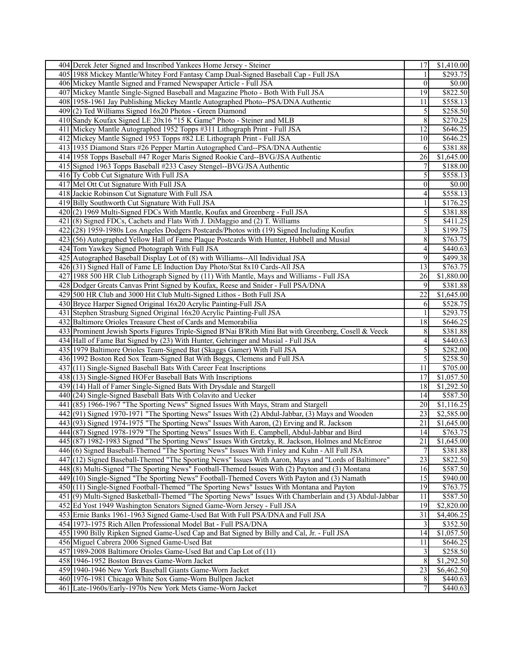| 404 Derek Jeter Signed and Inscribed Yankees Home Jersey - Steiner                                     | 17              | \$1,410.00        |
|--------------------------------------------------------------------------------------------------------|-----------------|-------------------|
| 405 1988 Mickey Mantle/Whitey Ford Fantasy Camp Dual-Signed Baseball Cap - Full JSA                    | 1               | \$293.75          |
| 406 Mickey Mantle Signed and Framed Newspaper Article - Full JSA                                       | $\vert 0 \vert$ | \$0.00            |
| 407 Mickey Mantle Single-Signed Baseball and Magazine Photo - Both With Full JSA                       | 19              | \$822.50          |
| 408 1958-1961 Jay Publishing Mickey Mantle Autographed Photo--PSA/DNA Authentic                        | 11              | \$558.13          |
| $409(2)$ Ted Williams Signed 16x20 Photos - Green Diamond                                              | $\mathfrak{S}$  | \$258.50          |
| 410 Sandy Koufax Signed LE 20x16 "15 K Game" Photo - Steiner and MLB                                   | 8               | \$270.25          |
| 411 Mickey Mantle Autographed 1952 Topps #311 Lithograph Print - Full JSA                              | $\overline{12}$ | \$646.25          |
| 412 Mickey Mantle Signed 1953 Topps #82 LE Lithograph Print - Full JSA                                 | 10              | \$646.25          |
| 413 1935 Diamond Stars #26 Pepper Martin Autographed Card--PSA/DNA Authentic                           | 6               | \$381.88          |
| 414 1958 Topps Baseball #47 Roger Maris Signed Rookie Card--BVG/JSA Authentic                          | 26              | \$1,645.00        |
| 415 Signed 1963 Topps Baseball #233 Casey Stengel--BVG/JSA Authentic                                   | 7               | \$188.00          |
|                                                                                                        | 5               |                   |
| 416 Ty Cobb Cut Signature With Full JSA                                                                |                 | \$558.13          |
| 417 Mel Ott Cut Signature With Full JSA                                                                | $\vert 0 \vert$ | \$0.00            |
| 418 Jackie Robinson Cut Signature With Full JSA                                                        | $\vert 4 \vert$ | \$558.13          |
| 419 Billy Southworth Cut Signature With Full JSA                                                       | $\overline{1}$  | \$176.25          |
| 420(2) 1969 Multi-Signed FDCs With Mantle, Koufax and Greenberg - Full JSA                             | $\sqrt{5}$      | \$381.88          |
| 421(8) Signed FDCs, Cachets and Flats With J. DiMaggio and (2) T. Williams                             | $\overline{5}$  | \$411.25          |
| 422 (28) 1959-1980s Los Angeles Dodgers Postcards/Photos with (19) Signed Including Koufax             | $\mathfrak{Z}$  | \$199.75          |
| 423(56) Autographed Yellow Hall of Fame Plaque Postcards With Hunter, Hubbell and Musial               | 8               | \$763.75          |
| 424 Tom Yawkey Signed Photograph With Full JSA                                                         | $\vert 4 \vert$ | \$440.63          |
| 425 Autographed Baseball Display Lot of (8) with Williams--All Individual JSA                          | 9               | \$499.38          |
| 426(31) Signed Hall of Fame LE Induction Day Photo/Stat 8x10 Cards-All JSA                             | 13              | \$763.75          |
| 427 1988 500 HR Club Lithograph Signed by (11) With Mantle, Mays and Williams - Full JSA               | $\overline{26}$ | \$1,880.00        |
| 428 Dodger Greats Canvas Print Signed by Koufax, Reese and Snider - Full PSA/DNA                       | 9               | \$381.88          |
| 429 500 HR Club and 3000 Hit Club Multi-Signed Lithos - Both Full JSA                                  | 22              | \$1,645.00        |
| 430 Bryce Harper Signed Original 16x20 Acrylic Painting-Full JSA                                       | 6               | \$528.75          |
| 431 Stephen Strasburg Signed Original 16x20 Acrylic Painting-Full JSA                                  | 1               | \$293.75          |
| 432 Baltimore Orioles Treasure Chest of Cards and Memorabilia                                          | 18              | \$646.25          |
| 433 Prominent Jewish Sports Figures Triple-Signed B'Nai B'Rith Mini Bat with Greenberg, Cosell & Veeck | 8 <sup>1</sup>  | \$381.88          |
| 434 Hall of Fame Bat Signed by (23) With Hunter, Gehringer and Musial - Full JSA                       | $\vert 4 \vert$ | \$440.63          |
| 435 1979 Baltimore Orioles Team-Signed Bat (Skaggs Gamer) With Full JSA                                | $\mathfrak{S}$  | \$282.00          |
| 436 1992 Boston Red Sox Team-Signed Bat With Boggs, Clemens and Full JSA                               | $\mathfrak{S}$  | \$258.50          |
| 437(11) Single-Signed Baseball Bats With Career Feat Inscriptions                                      | 11              | \$705.00          |
| 438 (13) Single-Signed HOFer Baseball Bats With Inscriptions                                           | 17              | \$1,057.50        |
| 439 (14) Hall of Famer Single-Signed Bats With Drysdale and Stargell                                   | 18              | \$1,292.50        |
| $440(24)$ Single-Signed Baseball Bats With Colavito and Uecker                                         | 14              | \$587.50          |
| 441 (85) 1966-1967 "The Sporting News" Signed Issues With Mays, Stram and Stargell                     | 20              | $\sqrt{1,116.25}$ |
| 442(91) Signed 1970-1971 "The Sporting News" Issues With (2) Abdul-Jabbar, (3) Mays and Wooden         | 23              | \$2,585.00        |
| 443(93) Signed 1974-1975 "The Sporting News" Issues With Aaron, (2) Erving and R. Jackson              | 21              | \$1,645.00        |
| 444 (87) Signed 1978-1979 "The Sporting News" Issues With E. Campbell, Abdul-Jabbar and Bird           | 14              | \$763.75          |
| 445 (87) 1982-1983 Signed "The Sporting News" Issues With Gretzky, R. Jackson, Holmes and McEnroe      | 21              | \$1,645.00        |
| 446 (6) Signed Baseball-Themed "The Sporting News" Issues With Finley and Kuhn - All Full JSA          | $\overline{7}$  | 3381.88           |
| 447 (12) Signed Baseball-Themed "The Sporting News" Issues With Aaron, Mays and "Lords of Baltimore"   | 23              | \$822.50          |
| 448(8) Multi-Signed "The Sporting News" Football-Themed Issues With (2) Payton and (3) Montana         | 16              | \$587.50          |
| 449 (10) Single-Signed "The Sporting News" Football-Themed Covers With Payton and (3) Namath           | 15              | \$940.00]         |
| 450 (11) Single-Signed Football-Themed "The Sporting News" Issues With Montana and Payton              | 19              | \$763.75          |
| 451(9) Multi-Signed Basketball-Themed "The Sporting News" Issues With Chamberlain and (3) Abdul-Jabbar | 11              | \$587.50          |
| 452 Ed Yost 1949 Washington Senators Signed Game-Worn Jersey - Full JSA                                | 19              | \$2,820.00        |
| 453 Ernie Banks 1961-1963 Signed Game-Used Bat With Full PSA/DNA and Full JSA                          | 31              | \$4,406.25        |
| 454 1973-1975 Rich Allen Professional Model Bat - Full PSA/DNA                                         | $\mathbf{3}$    | \$352.50          |
| 455 1990 Billy Ripken Signed Game-Used Cap and Bat Signed by Billy and Cal, Jr. - Full JSA             | 14              | \$1,057.50        |
| 456 Miguel Cabrera 2006 Signed Game-Used Bat                                                           | 11              | \$646.25          |
| 457 1989-2008 Baltimore Orioles Game-Used Bat and Cap Lot of (11)                                      | $\overline{3}$  | \$258.50          |
| 458 1946-1952 Boston Braves Game-Worn Jacket                                                           | 8               | \$1,292.50        |
| 459 1940-1946 New York Baseball Giants Game-Worn Jacket                                                | 23              | \$6,462.50        |
| 460 1976-1981 Chicago White Sox Game-Worn Bullpen Jacket                                               | 8               | \$440.63          |
| 461 Late-1960s/Early-1970s New York Mets Game-Worn Jacket                                              | $7\phantom{.}$  | \$440.63          |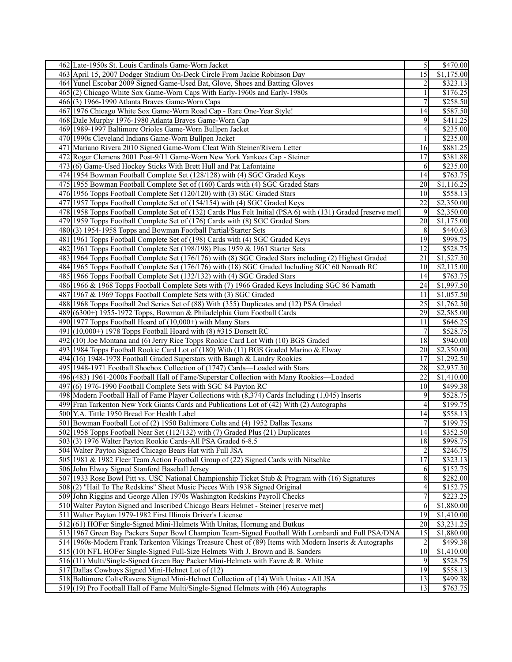| 462 Late-1950s St. Louis Cardinals Game-Worn Jacket                                                                                  | $\overline{5}$       | \$470.00               |
|--------------------------------------------------------------------------------------------------------------------------------------|----------------------|------------------------|
| 463 April 15, 2007 Dodger Stadium On-Deck Circle From Jackie Robinson Day                                                            | 15                   | \$1,175.00             |
| 464 Yunel Escobar 2009 Signed Game-Used Bat, Glove, Shoes and Batting Gloves                                                         | $\overline{2}$       | \$323.13               |
| 465(2) Chicago White Sox Game-Worn Caps With Early-1960s and Early-1980s                                                             | 1                    | \$176.25               |
| 466(3) 1966-1990 Atlanta Braves Game-Worn Caps                                                                                       | 7                    | \$258.50               |
| 467 1976 Chicago White Sox Game-Worn Road Cap - Rare One-Year Style!                                                                 | 14                   | \$587.50               |
| 468 Dale Murphy 1976-1980 Atlanta Braves Game-Worn Cap                                                                               | 9                    | \$411.25               |
| 469 1989-1997 Baltimore Orioles Game-Worn Bullpen Jacket                                                                             | $\vert 4 \vert$      | \$235.00               |
| 470 1990s Cleveland Indians Game-Worn Bullpen Jacket                                                                                 | 1                    | \$235.00               |
| 471 Mariano Rivera 2010 Signed Game-Worn Cleat With Steiner/Rivera Letter                                                            | 16                   | \$881.25               |
| 472 Roger Clemens 2001 Post-9/11 Game-Worn New York Yankees Cap - Steiner                                                            | 17                   | \$381.88               |
| 473(6) Game-Used Hockey Sticks With Brett Hull and Pat Lafontaine                                                                    | 6                    | \$235.00               |
| 474 1954 Bowman Football Complete Set (128/128) with (4) SGC Graded Keys                                                             | 14                   | \$763.75               |
| 475 1955 Bowman Football Complete Set of (160) Cards with (4) SGC Graded Stars                                                       | 20                   | \$1,116.25             |
| 476 1956 Topps Football Complete Set (120/120) with (3) SGC Graded Stars                                                             | 10                   | \$558.13               |
| 477 1957 Topps Football Complete Set of (154/154) with (4) SGC Graded Keys                                                           | 22                   | \$2,350.00             |
| 478 1958 Topps Football Complete Set of (132) Cards Plus Felt Initial (PSA 6) with (131) Graded [reserve met]                        | 9                    | \$2,350.00             |
| 479 1959 Topps Football Complete Set of (176) Cards with (8) SGC Graded Stars                                                        | 20                   | \$1,175.00             |
| 480 (3) 1954-1958 Topps and Bowman Football Partial/Starter Sets                                                                     | 8                    | \$440.63               |
| 481 1961 Topps Football Complete Set of (198) Cards with (4) SGC Graded Keys                                                         | 19                   | \$998.75               |
| 482 1961 Topps Football Complete Set (198/198) Plus 1959 & 1961 Starter Sets                                                         | 12                   | \$528.75               |
| 483 1964 Topps Football Complete Set (176/176) with (8) SGC Graded Stars including (2) Highest Graded                                | 21                   | \$1,527.50             |
| 484 1965 Topps Football Complete Set (176/176) with (18) SGC Graded Including SGC 60 Namath RC                                       | 10                   | \$2,115.00             |
| 485 1966 Topps Football Complete Set (132/132) with (4) SGC Graded Stars                                                             | 14                   | $\overline{$}763.75$   |
| 486 1966 & 1968 Topps Football Complete Sets with (7) 1966 Graded Keys Including SGC 86 Namath                                       | 24                   | \$1,997.50             |
| 487 1967 & 1969 Topps Football Complete Sets with (3) SGC Graded                                                                     | 11                   | \$1,057.50             |
| 488 1968 Topps Football 2nd Series Set of (88) With (355) Duplicates and (12) PSA Graded                                             | 25                   | \$1,762.50             |
| 489(6300+) 1955-1972 Topps, Bowman & Philadelphia Gum Football Cards                                                                 | 29                   | \$2,585.00             |
| 490 1977 Topps Football Hoard of $(10,000+)$ with Many Stars                                                                         | 11                   | \$646.25               |
| 491 $(10,000+)$ 1978 Topps Football Hoard with (8) #315 Dorsett RC                                                                   | 7                    | \$528.75               |
| 492 (10) Joe Montana and (6) Jerry Rice Topps Rookie Card Lot With (10) BGS Graded                                                   | 18                   | \$940.00               |
| 493 1984 Topps Football Rookie Card Lot of (180) With (11) BGS Graded Marino & Elway                                                 | 20                   | \$2,350.00             |
| 494 (16) 1948-1978 Football Graded Superstars with Baugh & Landry Rookies                                                            | 17                   | \$1,292.50             |
| 495 1948-1971 Football Shoebox Collection of (1747) Cards—Loaded with Stars                                                          | 28                   | \$2,937.50             |
| 496 (483) 1961-2000s Football Hall of Fame/Superstar Collection with Many Rookies—Loaded                                             | 22                   | \$1,410.00             |
| $497(6)$ 1976-1990 Football Complete Sets with SGC 84 Payton RC                                                                      | 10                   | \$499.38               |
| 498 Modern Football Hall of Fame Player Collections with (8,374) Cards Including (1,045) Inserts                                     | 9                    | \$528.75               |
| 499 Fran Tarkenton New York Giants Cards and Publications Lot of (42) With (2) Autographs                                            | $\vert 4 \vert$      | \$199.75               |
| 500 Y.A. Tittle 1950 Bread For Health Label                                                                                          | 14                   | \$558.13               |
| 501 Bowman Football Lot of (2) 1950 Baltimore Colts and (4) 1952 Dallas Texans                                                       | $\overline{7}$       | $\overline{$199.75}$   |
| 502 1958 Topps Football Near Set (112/132) with (7) Graded Plus (21) Duplicates                                                      | 14                   | \$352.50               |
| 503(3) 1976 Walter Payton Rookie Cards-All PSA Graded 6-8.5                                                                          | 18                   | \$998.75               |
| 504 Walter Payton Signed Chicago Bears Hat with Full JSA                                                                             | $\overline{2}$       | \$246.75               |
| 505 1981 & 1982 Fleer Team Action Football Group of (22) Signed Cards with Nitschke                                                  | 17                   | \$323.13               |
| 506 John Elway Signed Stanford Baseball Jersey                                                                                       |                      | \$152.75               |
| 507 1933 Rose Bowl Pitt vs. USC National Championship Ticket Stub & Program with (16) Signatures                                     | 6                    | \$282.00               |
| 508(2) "Hail To The Redskins" Sheet Music Pieces With 1938 Signed Original                                                           | 8<br>$\vert 4 \vert$ | \$152.75               |
| 509 John Riggins and George Allen 1970s Washington Redskins Payroll Checks                                                           | $\overline{7}$       |                        |
| 510 Walter Payton Signed and Inscribed Chicago Bears Helmet - Steiner [reserve met]                                                  | 6                    | \$223.25<br>\$1,880.00 |
| 511 Walter Payton 1979-1982 First Illinois Driver's License                                                                          | 19                   | \$1,410.00             |
| 512(61) HOFer Single-Signed Mini-Helmets With Unitas, Hornung and Butkus                                                             | 20 <sub>l</sub>      | \$3,231.25             |
| 513 1967 Green Bay Packers Super Bowl Champion Team-Signed Football With Lombardi and Full PSA/DNA                                   | 15                   | \$1,880.00             |
| 514 1960s-Modern Frank Tarkenton Vikings Treasure Chest of (89) Items with Modern Inserts & Autographs                               | $\overline{c}$       | \$499.38               |
|                                                                                                                                      | 10 <sup>1</sup>      |                        |
| 515 (10) NFL HOFer Single-Signed Full-Size Helmets With J. Brown and B. Sanders                                                      | 9                    | \$1,410.00             |
| 516(11) Multi/Single-Signed Green Bay Packer Mini-Helmets with Favre & R. White<br>517 Dallas Cowboys Signed Mini-Helmet Lot of (12) | 19                   | \$528.75<br>\$558.13   |
|                                                                                                                                      |                      | \$499.38               |
| 518 Baltimore Colts/Ravens Signed Mini-Helmet Collection of (14) With Unitas - All JSA                                               | 13                   |                        |
| 519 (19) Pro Football Hall of Fame Multi/Single-Signed Helmets with (46) Autographs                                                  | 13                   | \$763.75               |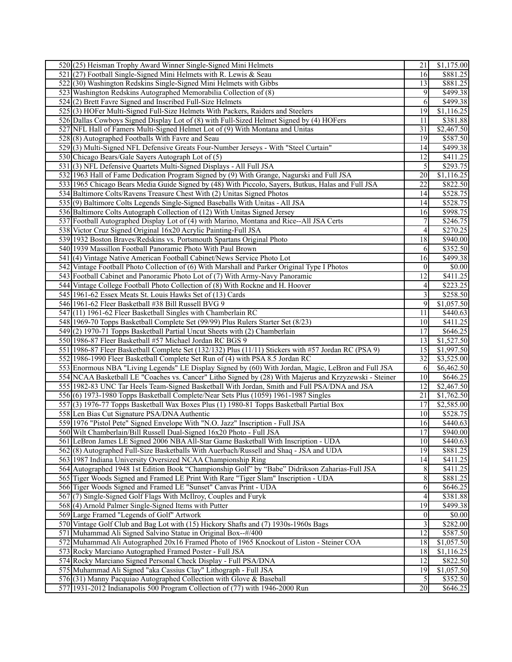| 520(25) Heisman Trophy Award Winner Single-Signed Mini Helmets                                         | 21               | \$1,175.00             |
|--------------------------------------------------------------------------------------------------------|------------------|------------------------|
| 521 (27) Football Single-Signed Mini Helmets with R. Lewis & Seau                                      | 16               | \$881.25               |
| 522(30) Washington Redskins Single-Signed Mini Helmets with Gibbs                                      | 13               | \$881.25               |
| 523 Washington Redskins Autographed Memorabilia Collection of (8)                                      | 9                | \$499.38               |
| 524(2) Brett Favre Signed and Inscribed Full-Size Helmets                                              | 6                | $\overline{$499.38}$   |
| 525(3) HOFer Multi-Signed Full-Size Helmets With Packers, Raiders and Steelers                         | 19               | \$1,116.25             |
| 526 Dallas Cowboys Signed Display Lot of (8) with Full-Sized Helmet Signed by (4) HOFers               | 11               | \$381.88               |
| 527 NFL Hall of Famers Multi-Signed Helmet Lot of (9) With Montana and Unitas                          | 31               | \$2,467.50             |
| 528(8) Autographed Footballs With Favre and Seau                                                       | 19               | \$587.50               |
| 529(3) Multi-Signed NFL Defensive Greats Four-Number Jerseys - With "Steel Curtain"                    | 14               | \$499.38               |
| 530 Chicago Bears/Gale Sayers Autograph Lot of (5)                                                     | 12               | \$411.25               |
| 531(3) NFL Defensive Quartets Multi-Signed Displays - All Full JSA                                     | $\mathfrak{S}$   | \$293.75               |
| 532 1963 Hall of Fame Dedication Program Signed by (9) With Grange, Nagurski and Full JSA              | 20               | \$1,116.25             |
| 533 1965 Chicago Bears Media Guide Signed by (48) With Piccolo, Sayers, Butkus, Halas and Full JSA     | 22               | \$822.50               |
| 534 Baltimore Colts/Ravens Treasure Chest With (2) Unitas Signed Photos                                | 14               | \$528.75               |
| 535(9) Baltimore Colts Legends Single-Signed Baseballs With Unitas - All JSA                           | 14               | \$528.75               |
| 536 Baltimore Colts Autograph Collection of (12) With Unitas Signed Jersey                             | 16               | $\overline{$998.75}$   |
|                                                                                                        | $\boldsymbol{7}$ |                        |
| 537 Football Autographed Display Lot of (4) with Marino, Montana and Rice--All JSA Certs               |                  | \$246.75               |
| 538 Victor Cruz Signed Original 16x20 Acrylic Painting-Full JSA                                        | $\vert 4 \vert$  | \$270.25               |
| 539 1932 Boston Braves/Redskins vs. Portsmouth Spartans Original Photo                                 | 18               | \$940.00               |
| 540 1939 Massillon Football Panoramic Photo With Paul Brown                                            | 6                | \$352.50               |
| 541 (4) Vintage Native American Football Cabinet/News Service Photo Lot                                | 16               | $\overline{$499.38}$   |
| 542 Vintage Football Photo Collection of (6) With Marshall and Parker Original Type I Photos           | 0                | \$0.00                 |
| 543 Football Cabinet and Panoramic Photo Lot of (7) With Army-Navy Panoramic                           | $\overline{12}$  | \$411.25               |
| 544 Vintage College Football Photo Collection of (8) With Rockne and H. Hoover                         | $\vert 4 \vert$  | \$223.25               |
| 545 1961-62 Essex Meats St. Louis Hawks Set of (13) Cards                                              | $\overline{3}$   | \$258.50               |
| 546 1961-62 Fleer Basketball #38 Bill Russell BVG 9                                                    | 9                | \$1,057.50             |
| 547(11) 1961-62 Fleer Basketball Singles with Chamberlain RC                                           | 11               | \$440.63               |
| 548 1969-70 Topps Basketball Complete Set (99/99) Plus Rulers Starter Set (8/23)                       | 10 <sup>1</sup>  | \$411.25               |
| 549(2) 1970-71 Topps Basketball Partial Uncut Sheets with (2) Chamberlain                              | 17               | \$646.25               |
| 550 1986-87 Fleer Basketball #57 Michael Jordan RC BGS 9                                               | 13               | \$1,527.50             |
| 551 1986-87 Fleer Basketball Complete Set (132/132) Plus (11/11) Stickers with #57 Jordan RC (PSA 9)   | 15               | \$1,997.50             |
| 552 1986-1990 Fleer Basketball Complete Set Run of (4) with PSA 8.5 Jordan RC                          | 32               | \$3,525.00             |
| 553 Enormous NBA "Living Legends" LE Display Signed by (60) With Jordan, Magic, LeBron and Full JSA    | 6                | \$6,462.50             |
| 554 NCAA Basketball LE "Coaches vs. Cancer" Litho Signed by (28) With Majerus and Krzyzewski - Steiner | 10               | \$646.25               |
| 555 1982-83 UNC Tar Heels Team-Signed Basketball With Jordan, Smith and Full PSA/DNA and JSA           | 12               | \$2,467.50             |
| 556(6) 1973-1980 Topps Basketball Complete/Near Sets Plus (1059) 1961-1987 Singles                     | 21               | \$1,762.50             |
| 557 (3) 1976-77 Topps Basketball Wax Boxes Plus (1) 1980-81 Topps Basketball Partial Box               | 17               | \$2,585.00             |
| 558 Len Bias Cut Signature PSA/DNA Authentic                                                           | 10 <sup>1</sup>  | \$528.75               |
| 559 1976 "Pistol Pete" Signed Envelope With "N.O. Jazz" Inscription - Full JSA                         | 16               | \$440.63               |
| 560 Wilt Chamberlain/Bill Russell Dual-Signed 16x20 Photo - Full JSA                                   | 17               | \$940.00               |
| 561 LeBron James LE Signed 2006 NBA All-Star Game Basketball With Inscription - UDA                    | 10               | \$440.63               |
| 562(8) Autographed Full-Size Basketballs With Auerbach/Russell and Shaq - JSA and UDA                  | 19               | $\overline{$881.25}$   |
| 563 1987 Indiana University Oversized NCAA Championship Ring                                           | 14               | \$411.25               |
| 564 Autographed 1948 1st Edition Book "Championship Golf" by "Babe" Didrikson Zaharias-Full JSA        | 8                | \$411.25               |
| 565 Tiger Woods Signed and Framed LE Print With Rare "Tiger Slam" Inscription - UDA                    | 8                | \$881.25               |
| 566 Tiger Woods Signed and Framed LE "Sunset" Canvas Print - UDA                                       | 6                | \$646.25               |
| 567(7) Single-Signed Golf Flags With McIlroy, Couples and Furyk                                        | $\vert$          | \$381.88               |
| 568(4) Arnold Palmer Single-Signed Items with Putter                                                   | 19               | \$499.38               |
| 569 Large Framed "Legends of Golf" Artwork                                                             | $\vert 0 \vert$  | \$0.00                 |
| 570 Vintage Golf Club and Bag Lot with (15) Hickory Shafts and (7) 1930s-1960s Bags                    | $\overline{3}$   | \$282.00               |
| 571 Muhammad Ali Signed Salvino Statue in Original Box--#/400                                          | 12               | \$587.50               |
| 572 Muhammad Ali Autographed 20x16 Framed Photo of 1965 Knockout of Liston - Steiner COA               | 18               | $\overline{$1,057.50}$ |
| 573 Rocky Marciano Autographed Framed Poster - Full JSA                                                | 18               | \$1,116.25             |
| 574 Rocky Marciano Signed Personal Check Display - Full PSA/DNA                                        | 12               | \$822.50               |
|                                                                                                        |                  |                        |
| 575 Muhammad Ali Signed "aka Cassius Clay" Lithograph - Full JSA                                       | 19               | \$1,057.50             |
| 576(31) Manny Pacquiao Autographed Collection with Glove & Baseball                                    | $\mathfrak{S}$   | \$352.50               |
| 577 1931-2012 Indianapolis 500 Program Collection of (77) with 1946-2000 Run                           | 20               | \$646.25               |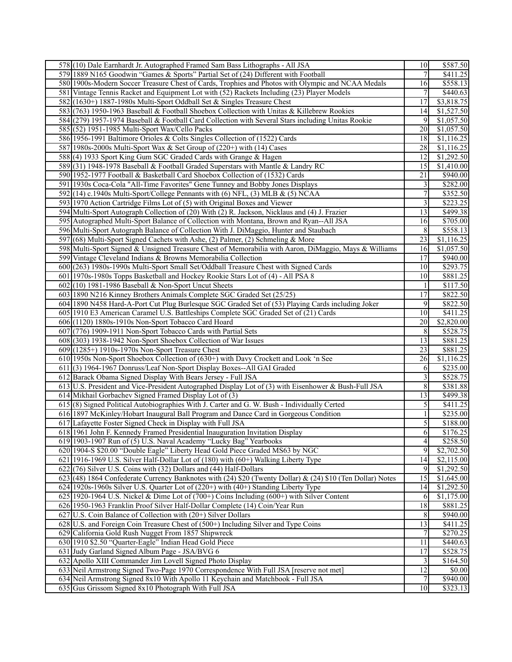| 578 (10) Dale Earnhardt Jr. Autographed Framed Sam Bass Lithographs - All JSA                                                           | 10                      | \$587.50               |
|-----------------------------------------------------------------------------------------------------------------------------------------|-------------------------|------------------------|
| 579 1889 N165 Goodwin "Games & Sports" Partial Set of (24) Different with Football                                                      | 7                       | $\sqrt{411.25}$        |
| 580 1900s-Modern Soccer Treasure Chest of Cards, Trophies and Photos with Olympic and NCAA Medals                                       | 16                      | \$558.13               |
| 581 Vintage Tennis Racket and Equipment Lot with (52) Rackets Including (23) Player Models                                              | 7                       | \$440.63               |
| 582 (1630+) 1887-1980s Multi-Sport Oddball Set & Singles Treasure Chest                                                                 | 17                      | \$3,818.75             |
| 583 (763) 1950-1963 Baseball & Football Shoebox Collection with Unitas & Killebrew Rookies                                              | 14                      | \$1,527.50             |
| 584 (279) 1957-1974 Baseball & Football Card Collection with Several Stars including Unitas Rookie                                      | 9                       | \$1,057.50             |
| 585 (52) 1951-1985 Multi-Sport Wax/Cello Packs                                                                                          | 20                      | \$1,057.50             |
| 586 1956-1991 Baltimore Orioles & Colts Singles Collection of (1522) Cards                                                              | 18                      | \$1,116.25             |
| 587 1980s-2000s Multi-Sport Wax & Set Group of (220+) with (14) Cases                                                                   | 28                      | \$1,116.25             |
| 588(4) 1933 Sport King Gum SGC Graded Cards with Grange & Hagen                                                                         | 12                      | \$1,292.50             |
| 589(31) 1948-1978 Baseball & Football Graded Superstars with Mantle & Landry RC                                                         | 15                      | \$1,410.00             |
| 590 1952-1977 Football & Basketball Card Shoebox Collection of (1532) Cards                                                             | 21                      | \$940.00               |
| 591 1930s Coca-Cola "All-Time Favorites" Gene Tunney and Bobby Jones Displays                                                           | $\overline{\mathbf{3}}$ | \$282.00               |
| 592(14) c.1940s Multi-Sport/College Pennants with (6) NFL, (3) MLB & (5) NCAA                                                           | $\overline{7}$          | \$352.50               |
| 593 1970 Action Cartridge Films Lot of (5) with Original Boxes and Viewer                                                               | $\overline{3}$          | \$223.25               |
| 594 Multi-Sport Autograph Collection of (20) With (2) R. Jackson, Nicklaus and (4) J. Frazier                                           | 13                      | \$499.38               |
| 595 Autographed Multi-Sport Balance of Collection with Montana, Brown and Ryan--All JSA                                                 | 16                      | \$705.00               |
| 596 Multi-Sport Autograph Balance of Collection With J. DiMaggio, Hunter and Staubach                                                   | $\,8$                   | \$558.13               |
| 597 (68) Multi-Sport Signed Cachets with Ashe, (2) Palmer, (2) Schmeling & More                                                         | 23                      | \$1,116.25             |
| 598 Multi-Sport Signed & Unsigned Treasure Chest of Memorabilia with Aaron, DiMaggio, Mays & Williams                                   | 16                      | \$1,057.50             |
| 599 Vintage Cleveland Indians & Browns Memorabilia Collection                                                                           | 17                      | $ $ \$940.00           |
| 600 (263) 1980s-1990s Multi-Sport Small Set/Oddball Treasure Chest with Signed Cards                                                    | 10                      | \$293.75               |
|                                                                                                                                         | 10 <sup>1</sup>         | \$881.25               |
| 601 1970s-1980s Topps Basketball and Hockey Rookie Stars Lot of (4) - All PSA 8                                                         |                         | $\overline{$117.50}$   |
| $602(10)$ 1981-1986 Baseball & Non-Sport Uncut Sheets                                                                                   | $\mathbf{1}$            | \$822.50               |
| 603 1890 N216 Kinney Brothers Animals Complete SGC Graded Set (25/25)                                                                   | $\overline{17}$         |                        |
| 604 1890 N458 Hard-A-Port Cut Plug Burlesque SGC Graded Set of (53) Playing Cards including Joker                                       | 9                       | $\overline{$822.50}$   |
| 605 1910 E3 American Caramel U.S. Battleships Complete SGC Graded Set of (21) Cards                                                     | 10                      | \$411.25<br>\$2,820.00 |
| 606 (1120) 1880s-1910s Non-Sport Tobacco Card Hoard                                                                                     | 20                      |                        |
|                                                                                                                                         |                         |                        |
| 607 (776) 1909-1911 Non-Sport Tobacco Cards with Partial Sets                                                                           | 8                       | \$528.75               |
| 608 (303) 1938-1942 Non-Sport Shoebox Collection of War Issues                                                                          | $\overline{13}$         | \$881.25               |
| $609$ (1285+) 1910s-1970s Non-Sport Treasure Chest                                                                                      | 23                      | \$881.25               |
| 610 1950s Non-Sport Shoebox Collection of (630+) with Davy Crockett and Look 'n See                                                     | 26                      | \$1,116.25             |
| 611 (3) 1964-1967 Donruss/Leaf Non-Sport Display Boxes--All GAI Graded                                                                  | 6                       | \$235.00               |
| 612 Barack Obama Signed Display With Bears Jersey - Full JSA                                                                            | $\overline{3}$          | \$528.75               |
| 613 U.S. President and Vice-President Autographed Display Lot of (3) with Eisenhower & Bush-Full JSA                                    | $8\,$                   | \$381.88               |
| 614 Mikhail Gorbachev Signed Framed Display Lot of (3)                                                                                  | $\overline{13}$         | \$499.38               |
| 615 (8) Signed Political Autobiographies With J. Carter and G. W. Bush - Individually Certed                                            | $\mathfrak{S}$          | \$411.25               |
| 616 1897 McKinley/Hobart Inaugural Ball Program and Dance Card in Gorgeous Condition                                                    | $\mathbf{1}$            | \$235.00               |
| 617 Lafayette Foster Signed Check in Display with Full JSA                                                                              | $\mathfrak{S}$          | \$188.00               |
| 618 1961 John F. Kennedy Framed Presidential Inauguration Invitation Display                                                            | 6                       | \$176.25               |
| 619 1903-1907 Run of (5) U.S. Naval Academy "Lucky Bag" Yearbooks                                                                       | $\overline{4}$          | \$258.50               |
| 620 1904-S \$20.00 "Double Eagle" Liberty Head Gold Piece Graded MS63 by NGC                                                            | 9                       | \$2,702.50             |
| 621 1916-1969 U.S. Silver Half-Dollar Lot of (180) with (60+) Walking Liberty Type                                                      | 14                      | \$2,115.00             |
| $622$ (76) Silver U.S. Coins with (32) Dollars and (44) Half-Dollars                                                                    | 9                       | \$1,292.50             |
| 623(48) 1864 Confederate Currency Banknotes with (24) \$20 (Twenty Dollar) & (24) \$10 (Ten Dollar) Notes                               | 15                      | \$1,645.00             |
| 624 1920s-1960s Silver U.S. Quarter Lot of (220+) with (40+) Standing Liberty Type                                                      | 14                      | \$1,292.50             |
| 625 1920-1964 U.S. Nickel & Dime Lot of $(700+)$ Coins Including $(600+)$ with Silver Content                                           | 6                       | \$1,175.00             |
| 626 1950-1963 Franklin Proof Silver Half-Dollar Complete (14) Coin/Year Run                                                             | 18                      | \$881.25               |
| 627 U.S. Coin Balance of Collection with (20+) Silver Dollars                                                                           | 8                       | \$940.00               |
| 628 U.S. and Foreign Coin Treasure Chest of (500+) Including Silver and Type Coins                                                      | 13                      | $\overline{$}411.25$   |
| 629 California Gold Rush Nugget From 1857 Shipwreck                                                                                     | 7                       | \$270.25               |
| 630 1910 \$2.50 "Quarter-Eagle" Indian Head Gold Piece                                                                                  | 11                      | \$440.63               |
| 631 Judy Garland Signed Album Page - JSA/BVG 6                                                                                          | $\overline{17}$         | \$528.75               |
| 632 Apollo XIII Commander Jim Lovell Signed Photo Display                                                                               | $\mathbf{3}$            | \$164.50               |
| 633 Neil Armstrong Signed Two-Page 1970 Correspondence With Full JSA [reserve not met]                                                  | 12                      | \$0.00                 |
| 634 Neil Armstrong Signed 8x10 With Apollo 11 Keychain and Matchbook - Full JSA<br>635 Gus Grissom Signed 8x10 Photograph With Full JSA | $\overline{7}$<br>10    | \$940.00<br>\$323.13   |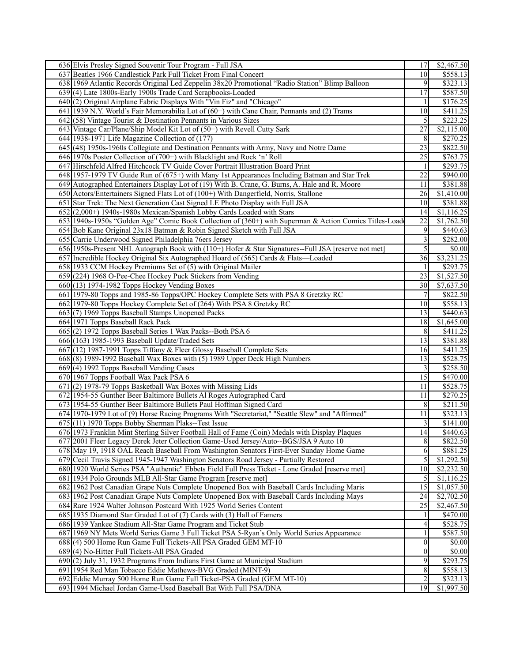| 636 Elvis Presley Signed Souvenir Tour Program - Full JSA                                              | 17              | \$2,467.50            |
|--------------------------------------------------------------------------------------------------------|-----------------|-----------------------|
| 637 Beatles 1966 Candlestick Park Full Ticket From Final Concert                                       | 10              | \$558.13              |
| 638 1969 Atlantic Records Original Led Zeppelin 38x20 Promotional "Radio Station" Blimp Balloon        | 9               | \$323.13              |
| 639 (4) Late 1800s-Early 1900s Trade Card Scrapbooks-Loaded                                            | 17              | \$587.50              |
| 640(2) Original Airplane Fabric Displays With "Vin Fiz" and "Chicago"                                  | 1               | \$176.25              |
| 641 1939 N.Y. World's Fair Memorabilia Lot of (60+) with Cane Chair, Pennants and (2) Trams            | 10              | \$411.25              |
| $642$ (58) Vintage Tourist & Destination Pennants in Various Sizes                                     | 5               | \$223.25              |
| 643 Vintage Car/Plane/Ship Model Kit Lot of (50+) with Revell Cutty Sark                               | $\overline{27}$ | \$2,115.00            |
| 644 1938-1971 Life Magazine Collection of (177)                                                        | 8               | \$270.25              |
| 645 (48) 1950s-1960s Collegiate and Destination Pennants with Army, Navy and Notre Dame                | 23              | \$822.50              |
| 646 1970s Poster Collection of (700+) with Blacklight and Rock 'n' Roll                                | 25              | \$763.75              |
| 647 Hirschfeld Alfred Hitchcock TV Guide Cover Portrait Illustration Board Print                       | 1               | \$293.75              |
| 648 1957-1979 TV Guide Run of (675+) with Many 1st Appearances Including Batman and Star Trek          | 22              | \$940.00              |
|                                                                                                        |                 | \$381.88              |
| 649 Autographed Entertainers Display Lot of (19) With B. Crane, G. Burns, A. Hale and R. Moore         | 11              |                       |
| 650 Actors/Entertainers Signed Flats Lot of (100+) With Dangerfield, Norris, Stallone                  | 26              | \$1,410.00            |
| 651 Star Trek: The Next Generation Cast Signed LE Photo Display with Full JSA                          | 10              | \$381.88              |
| 652(2,000+) 1940s-1980s Mexican/Spanish Lobby Cards Loaded with Stars                                  | 14              | $\overline{1,116.25}$ |
| 653 1940s-1950s "Golden Age" Comic Book Collection of (360+) with Superman & Action Comics Titles-Load | 22              | \$1,762.50            |
| 654 Bob Kane Original 23x18 Batman & Robin Signed Sketch with Full JSA                                 | 9               | \$440.63              |
| 655 Carrie Underwood Signed Philadelphia 76ers Jersey                                                  | 3               | \$282.00              |
| 656 1950s-Present NHL Autograph Book with (110+) Hofer & Star Signatures--Full JSA [reserve not met]   | 5               | $\overline{$0.00}$    |
| 657 Incredible Hockey Original Six Autographed Hoard of (565) Cards & Flats—Loaded                     | 36              | \$3,231.25            |
| 658 1933 CCM Hockey Premiums Set of (5) with Original Mailer                                           | -1              | \$293.75              |
| 659 (224) 1968 O-Pee-Chee Hockey Puck Stickers from Vending                                            | 23              | \$1,527.50            |
| $660(13)$ 1974-1982 Topps Hockey Vending Boxes                                                         | 30              | \$7,637.50            |
| 661 1979-80 Topps and 1985-86 Topps/OPC Hockey Complete Sets with PSA 8 Gretzky RC                     | $\overline{7}$  | \$822.50              |
| 662 1979-80 Topps Hockey Complete Set of (264) With PSA 8 Gretzky RC                                   | 10 <sup>1</sup> | \$558.13              |
| 663(7) 1969 Topps Baseball Stamps Unopened Packs                                                       | 13              | \$440.63              |
| 664 1971 Topps Baseball Rack Pack                                                                      | 18              | \$1,645.00            |
| 665(2) 1972 Topps Baseball Series 1 Wax Packs--Both PSA 6                                              | 8               | \$411.25              |
| 666 (163) 1985-1993 Baseball Update/Traded Sets                                                        | 13              | \$381.88              |
| 667 (12) 1987-1991 Topps Tiffany & Fleer Glossy Baseball Complete Sets                                 | 16              | \$411.25              |
| 668(8) 1989-1992 Baseball Wax Boxes with (5) 1989 Upper Deck High Numbers                              | 13              | \$528.75              |
| 669(4) 1992 Topps Baseball Vending Cases                                                               | 3               | \$258.50              |
| 670 1967 Topps Football Wax Pack PSA 6                                                                 | 15              | \$470.00              |
| $671(2)$ 1978-79 Topps Basketball Wax Boxes with Missing Lids                                          | 11              | \$528.75              |
| 672 1954-55 Gunther Beer Baltimore Bullets Al Roges Autographed Card                                   | 11              | \$270.25              |
| 673 1954-55 Gunther Beer Baltimore Bullets Paul Hoffman Signed Card                                    | 8               | \$211.50              |
| 674 1970-1979 Lot of (9) Horse Racing Programs With "Secretariat," "Seattle Slew" and "Affirmed"       | 11              | \$323.13              |
| 675 (11) 1970 Topps Bobby Sherman Plaks--Test Issue                                                    | 3               | \$141.00              |
| 676 1973 Franklin Mint Sterling Silver Football Hall of Fame (Coin) Medals with Display Plaques        | 14              | \$440.63              |
| 677 2001 Fleer Legacy Derek Jeter Collection Game-Used Jersey/Auto--BGS/JSA 9 Auto 10                  | $\sqrt{8}$      | \$822.50              |
| 678 May 19, 1918 OAL Reach Baseball From Washington Senators First-Ever Sunday Home Game               | 6               | $\overline{$881.25}$  |
| 679 Cecil Travis Signed 1945-1947 Washington Senators Road Jersey - Partially Restored                 | $\sqrt{5}$      | \$1,292.50            |
| 680 1920 World Series PSA "Authentic" Ebbets Field Full Press Ticket - Lone Graded [reserve met]       | 10              | \$2,232.50            |
| 681 1934 Polo Grounds MLB All-Star Game Program [reserve met]                                          | 5               | \$1,116.25            |
| 682 1962 Post Canadian Grape Nuts Complete Unopened Box with Baseball Cards Including Maris            | 15              | \$1,057.50            |
| 683 1962 Post Canadian Grape Nuts Complete Unopened Box with Baseball Cards Including Mays             | 24              | \$2,702.50            |
| 684 Rare 1924 Walter Johnson Postcard With 1925 World Series Content                                   | 25              | \$2,467.50            |
| 685 1935 Diamond Star Graded Lot of (7) Cards with (3) Hall of Famers                                  |                 | \$470.00              |
| 686 1939 Yankee Stadium All-Star Game Program and Ticket Stub                                          | 4               | \$528.75              |
| 687 1969 NY Mets World Series Game 3 Full Ticket PSA 5-Ryan's Only World Series Appearance             | 1               | \$587.50              |
| 688(4) 500 Home Run Game Full Tickets-All PSA Graded GEM MT-10                                         | $\vert 0 \vert$ | \$0.00                |
| 689(4) No-Hitter Full Tickets-All PSA Graded                                                           | $\overline{0}$  | \$0.00                |
| 690(2) July 31, 1932 Programs From Indians First Game at Municipal Stadium                             | 9               | \$293.75              |
| 691 1954 Red Man Tobacco Eddie Mathews-BVG Graded (MINT-9)                                             | $8\,$           | \$558.13              |
| 692 Eddie Murray 500 Home Run Game Full Ticket-PSA Graded (GEM MT-10)                                  | 2               | \$323.13              |
| 693 1994 Michael Jordan Game-Used Baseball Bat With Full PSA/DNA                                       | 19              | \$1,997.50            |